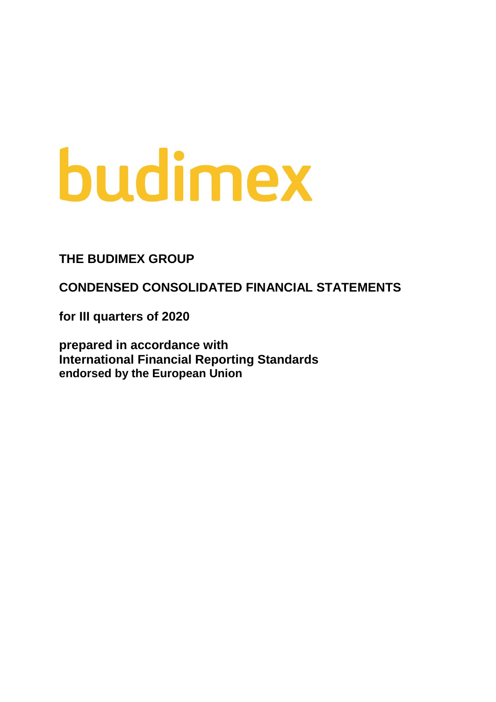# budimex

### **THE BUDIMEX GROUP**

**CONDENSED CONSOLIDATED FINANCIAL STATEMENTS** 

**for III quarters of 2020**

**prepared in accordance with International Financial Reporting Standards endorsed by the European Union**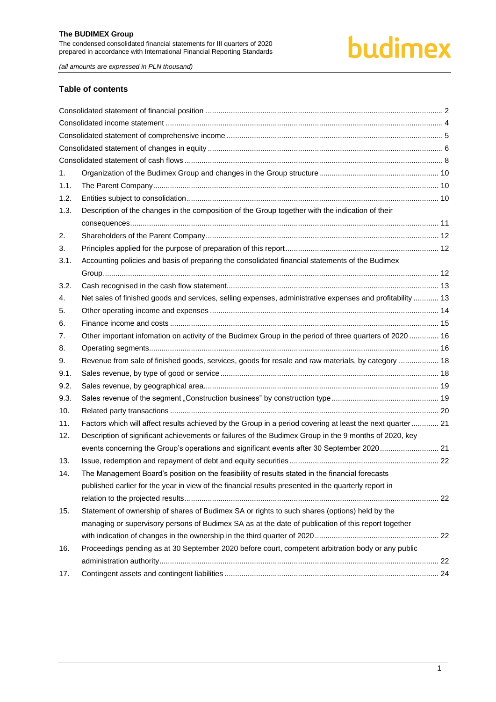# budimex

*(all amounts are expressed in PLN thousand)*

#### **Table of contents**

| 1.   |                                                                                                           |  |
|------|-----------------------------------------------------------------------------------------------------------|--|
| 1.1. |                                                                                                           |  |
| 1.2. |                                                                                                           |  |
| 1.3. | Description of the changes in the composition of the Group together with the indication of their          |  |
|      |                                                                                                           |  |
| 2.   |                                                                                                           |  |
| 3.   |                                                                                                           |  |
| 3.1. | Accounting policies and basis of preparing the consolidated financial statements of the Budimex           |  |
|      |                                                                                                           |  |
| 3.2. |                                                                                                           |  |
| 4.   | Net sales of finished goods and services, selling expenses, administrative expenses and profitability  13 |  |
| 5.   |                                                                                                           |  |
| 6.   |                                                                                                           |  |
| 7.   | Other important infomation on activity of the Budimex Group in the period of three quarters of 2020  16   |  |
| 8.   |                                                                                                           |  |
| 9.   | Revenue from sale of finished goods, services, goods for resale and raw materials, by category  18        |  |
| 9.1. |                                                                                                           |  |
| 9.2. |                                                                                                           |  |
| 9.3. |                                                                                                           |  |
| 10.  |                                                                                                           |  |
| 11.  | Factors which will affect results achieved by the Group in a period covering at least the next quarter 21 |  |
| 12.  | Description of significant achievements or failures of the Budimex Group in the 9 months of 2020, key     |  |
|      | events concerning the Group's operations and significant events after 30 September 2020 21                |  |
| 13.  |                                                                                                           |  |
| 14.  | The Management Board's position on the feasibility of results stated in the financial forecasts           |  |
|      | published earlier for the year in view of the financial results presented in the quarterly report in      |  |
|      |                                                                                                           |  |
| 15.  | Statement of ownership of shares of Budimex SA or rights to such shares (options) held by the             |  |
|      | managing or supervisory persons of Budimex SA as at the date of publication of this report together       |  |
|      |                                                                                                           |  |
| 16.  | Proceedings pending as at 30 September 2020 before court, competent arbitration body or any public        |  |
|      |                                                                                                           |  |
| 17.  |                                                                                                           |  |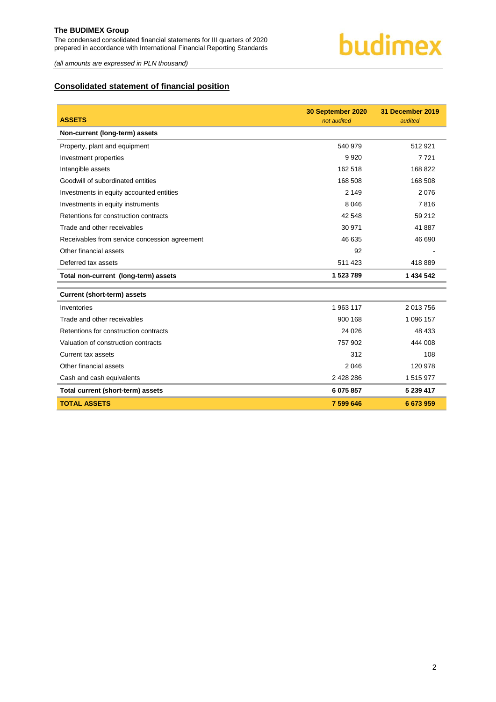

*(all amounts are expressed in PLN thousand)*

#### <span id="page-2-0"></span>**Consolidated statement of financial position**

| <b>ASSETS</b>                                 | 30 September 2020<br>not audited | 31 December 2019<br>audited |
|-----------------------------------------------|----------------------------------|-----------------------------|
| Non-current (long-term) assets                |                                  |                             |
| Property, plant and equipment                 | 540 979                          | 512 921                     |
| Investment properties                         | 9920                             | 7721                        |
| Intangible assets                             | 162 518                          | 168 822                     |
| Goodwill of subordinated entities             | 168 508                          | 168 508                     |
| Investments in equity accounted entities      | 2 1 4 9                          | 2076                        |
| Investments in equity instruments             | 8 0 4 6                          | 7816                        |
| Retentions for construction contracts         | 42 548                           | 59 212                      |
| Trade and other receivables                   | 30 971                           | 41 887                      |
| Receivables from service concession agreement | 46 635                           | 46 690                      |
| Other financial assets                        | 92                               |                             |
| Deferred tax assets                           | 511 423                          | 418 889                     |
| Total non-current (long-term) assets          | 1 523 789                        | 1 434 542                   |
| <b>Current (short-term) assets</b>            |                                  |                             |
| Inventories                                   | 1 963 117                        | 2 013 756                   |
| Trade and other receivables                   | 900 168                          | 1 096 157                   |
| Retentions for construction contracts         | 24 0 26                          | 48 433                      |
| Valuation of construction contracts           | 757 902                          | 444 008                     |
| Current tax assets                            | 312                              | 108                         |
| Other financial assets                        | 2 0 4 6                          | 120 978                     |
| Cash and cash equivalents                     | 2 428 286                        | 1 515 977                   |
| Total current (short-term) assets             | 6 075 857                        | 5 239 417                   |
| <b>TOTAL ASSETS</b>                           | 7 599 646                        | 6 673 959                   |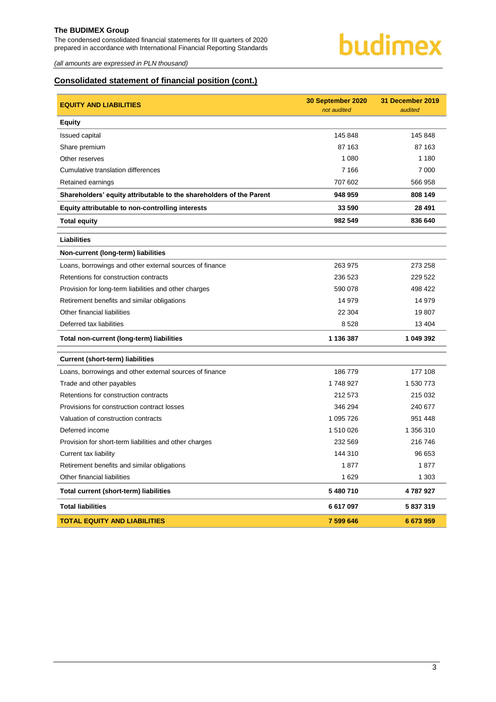The condensed consolidated financial statements for III quarters of 2020 prepared in accordance with International Financial Reporting Standards



*(all amounts are expressed in PLN thousand)*

#### **Consolidated statement of financial position (cont.)**

| <b>EQUITY AND LIABILITIES</b>                                       | 30 September 2020<br>not audited | 31 December 2019<br>audited |
|---------------------------------------------------------------------|----------------------------------|-----------------------------|
| <b>Equity</b>                                                       |                                  |                             |
| Issued capital                                                      | 145 848                          | 145 848                     |
| Share premium                                                       | 87 163                           | 87 163                      |
| Other reserves                                                      | 1 0 8 0                          | 1 1 8 0                     |
| Cumulative translation differences                                  | 7 1 6 6                          | 7 0 0 0                     |
| Retained earnings                                                   | 707 602                          | 566 958                     |
| Shareholders' equity attributable to the shareholders of the Parent | 948 959                          | 808 149                     |
| Equity attributable to non-controlling interests                    | 33 590                           | 28 4 91                     |
| <b>Total equity</b>                                                 | 982 549                          | 836 640                     |
| <b>Liabilities</b>                                                  |                                  |                             |
| Non-current (long-term) liabilities                                 |                                  |                             |
| Loans, borrowings and other external sources of finance             | 263 975                          | 273 258                     |
| Retentions for construction contracts                               | 236 523                          | 229 522                     |
| Provision for long-term liabilities and other charges               | 590 078                          | 498 422                     |
| Retirement benefits and similar obligations                         | 14 979                           | 14 979                      |
| Other financial liabilities                                         | 22 304                           | 19 807                      |
| Deferred tax liabilities                                            | 8528                             | 13 4 04                     |
| Total non-current (long-term) liabilities                           | 1 136 387                        | 1 049 392                   |
| <b>Current (short-term) liabilities</b>                             |                                  |                             |
| Loans, borrowings and other external sources of finance             | 186779                           | 177 108                     |
| Trade and other payables                                            | 1748927                          | 1 530 773                   |
| Retentions for construction contracts                               | 212 573                          | 215 032                     |
| Provisions for construction contract losses                         | 346 294                          | 240 677                     |
| Valuation of construction contracts                                 | 1 095 726                        | 951 448                     |
| Deferred income                                                     | 1 510 026                        | 1 356 310                   |
| Provision for short-term liabilities and other charges              | 232 569                          | 216 746                     |
| Current tax liability                                               | 144 310                          | 96 653                      |
| Retirement benefits and similar obligations                         | 1877                             | 1877                        |
| Other financial liabilities                                         | 1629                             | 1 3 0 3                     |
| Total current (short-term) liabilities                              | 5 480 710                        | 4787927                     |
| <b>Total liabilities</b>                                            | 6 617 097                        | 5 837 319                   |
| <b>TOTAL EQUITY AND LIABILITIES</b>                                 | 7 599 646                        | 6673959                     |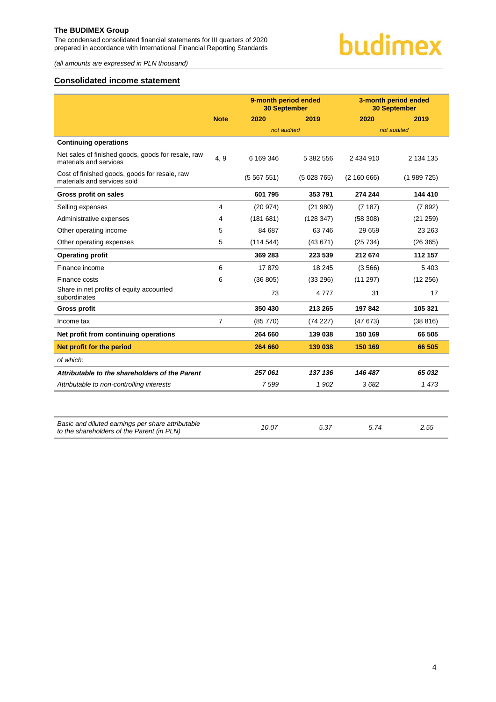The condensed consolidated financial statements for III quarters of 2020 prepared in accordance with International Financial Reporting Standards



*(all amounts are expressed in PLN thousand)*

#### <span id="page-4-0"></span>**Consolidated income statement**

|                                                                              |                |             | 9-month period ended<br><b>30 September</b> |             | 3-month period ended<br><b>30 September</b> |
|------------------------------------------------------------------------------|----------------|-------------|---------------------------------------------|-------------|---------------------------------------------|
|                                                                              | <b>Note</b>    | 2020        | 2019                                        | 2020        | 2019                                        |
|                                                                              |                | not audited |                                             |             | not audited                                 |
| <b>Continuing operations</b>                                                 |                |             |                                             |             |                                             |
| Net sales of finished goods, goods for resale, raw<br>materials and services | 4, 9           | 6 169 346   | 5 382 556                                   | 2 434 910   | 2 134 135                                   |
| Cost of finished goods, goods for resale, raw<br>materials and services sold |                | (5567551)   | (5028765)                                   | (2 160 666) | (1989725)                                   |
| Gross profit on sales                                                        |                | 601 795     | 353 791                                     | 274 244     | 144 410                                     |
| Selling expenses                                                             | 4              | (20974)     | (21980)                                     | (7187)      | (7892)                                      |
| Administrative expenses                                                      | 4              | (181681)    | (128 347)                                   | (58308)     | (21 259)                                    |
| Other operating income                                                       | 5              | 84 687      | 63746                                       | 29 659      | 23 263                                      |
| Other operating expenses                                                     | 5              | (114544)    | (43671)                                     | (25734)     | (26 365)                                    |
| <b>Operating profit</b>                                                      |                | 369 283     | 223 539                                     | 212 674     | 112 157                                     |
| Finance income                                                               | 6              | 17879       | 18 245                                      | (3566)      | 5 4 0 3                                     |
| Finance costs                                                                | 6              | (36 805)    | (33 296)                                    | (11 297)    | (12 256)                                    |
| Share in net profits of equity accounted<br>subordinates                     |                | 73          | 4 7 7 7                                     | 31          | 17                                          |
| <b>Gross profit</b>                                                          |                | 350 430     | 213 265                                     | 197842      | 105 321                                     |
| Income tax                                                                   | $\overline{7}$ | (85 770)    | (74227)                                     | (47673)     | (38816)                                     |
| Net profit from continuing operations                                        |                | 264 660     | 139 038                                     | 150 169     | 66 505                                      |
| Net profit for the period                                                    |                | 264 660     | 139 038                                     | 150 169     | 66 505                                      |
| of which:                                                                    |                |             |                                             |             |                                             |
| Attributable to the shareholders of the Parent                               |                | 257061      | 137 136                                     | 146 487     | 65 032                                      |
| Attributable to non-controlling interests                                    |                | 7599        | 1902                                        | 3682        | 1473                                        |
|                                                                              |                |             |                                             |             |                                             |

| Basic and diluted earnings per share attributable<br>to the shareholders of the Parent (in PLN) | 10.07 | 5.37 | 5.74 | 2.55 |
|-------------------------------------------------------------------------------------------------|-------|------|------|------|
|                                                                                                 |       |      |      |      |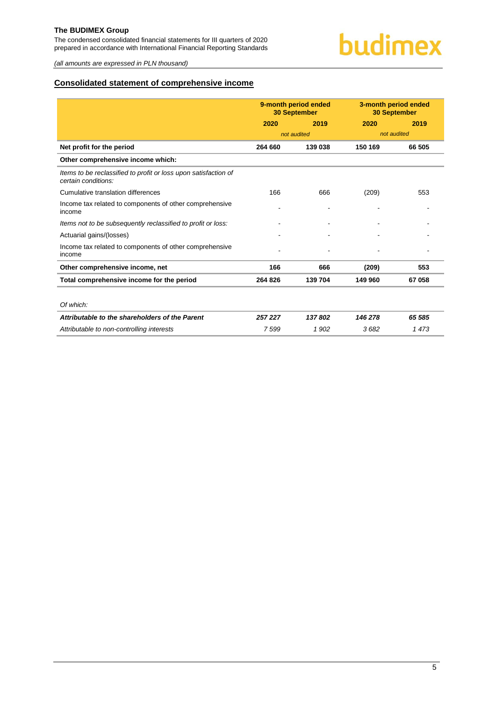The condensed consolidated financial statements for III quarters of 2020 prepared in accordance with International Financial Reporting Standards

*(all amounts are expressed in PLN thousand)*

#### <span id="page-5-0"></span>**Consolidated statement of comprehensive income**

|                                                                                        | 9-month period ended<br><b>30 September</b> |                | 3-month period ended<br><b>30 September</b> |        |
|----------------------------------------------------------------------------------------|---------------------------------------------|----------------|---------------------------------------------|--------|
|                                                                                        | 2020                                        | 2019           | 2020                                        | 2019   |
|                                                                                        |                                             | not audited    | not audited                                 |        |
| Net profit for the period                                                              | 264 660                                     | 139 038        | 150 169                                     | 66 505 |
| Other comprehensive income which:                                                      |                                             |                |                                             |        |
| Items to be reclassified to profit or loss upon satisfaction of<br>certain conditions: |                                             |                |                                             |        |
| Cumulative translation differences                                                     | 166                                         | 666            | (209)                                       | 553    |
| Income tax related to components of other comprehensive<br>income                      |                                             | $\blacksquare$ |                                             |        |
| Items not to be subsequently reclassified to profit or loss:                           |                                             |                |                                             |        |
| Actuarial gains/(losses)                                                               |                                             |                |                                             |        |
| Income tax related to components of other comprehensive<br>income                      |                                             |                |                                             |        |
| Other comprehensive income, net                                                        | 166                                         | 666            | (209)                                       | 553    |
| Total comprehensive income for the period                                              | 264 826                                     | 139 704        | 149 960                                     | 67 058 |
|                                                                                        |                                             |                |                                             |        |
| Of which:                                                                              |                                             |                |                                             |        |
| Attributable to the shareholders of the Parent                                         | 257 227                                     | 137802         | 146 278                                     | 65 585 |
| Attributable to non-controlling interests                                              | 7599                                        | 1902           | 3682                                        | 1473   |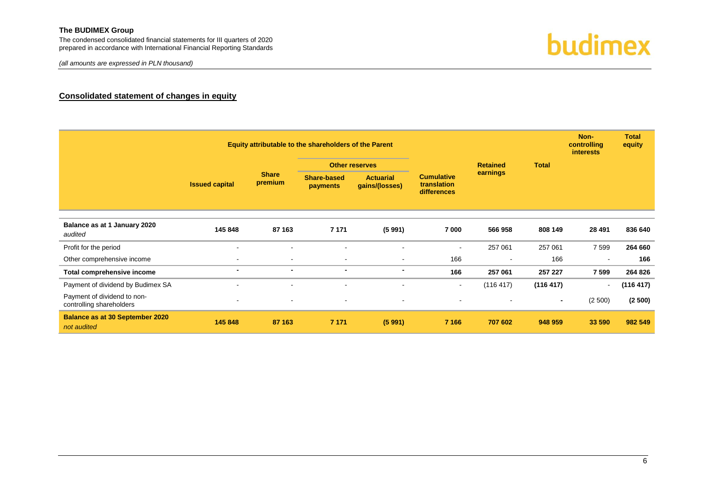The condensed consolidated financial statements for III quarters of 2020 prepared in accordance with International Financial Reporting Standards

*(all amounts are expressed in PLN thousand)*



#### **Consolidated statement of changes in equity**

<span id="page-6-0"></span>

|                                                         |                       | Equity attributable to the shareholders of the Parent |                                |                                    |                                                 |                 |                | Non-<br>controlling<br>interests | <b>Total</b><br>equity |
|---------------------------------------------------------|-----------------------|-------------------------------------------------------|--------------------------------|------------------------------------|-------------------------------------------------|-----------------|----------------|----------------------------------|------------------------|
|                                                         | <b>Issued capital</b> |                                                       |                                | <b>Other reserves</b>              |                                                 | <b>Retained</b> | <b>Total</b>   |                                  |                        |
|                                                         |                       | <b>Share</b><br>premium                               | <b>Share-based</b><br>payments | <b>Actuarial</b><br>gains/(losses) | <b>Cumulative</b><br>translation<br>differences | earnings        |                |                                  |                        |
|                                                         |                       |                                                       |                                |                                    |                                                 |                 |                |                                  |                        |
| Balance as at 1 January 2020<br>audited                 | 145 848               | 87 163                                                | 7 1 7 1                        | (5991)                             | 7 000                                           | 566 958         | 808 149        | 28 4 91                          | 836 640                |
| Profit for the period                                   | $\sim$                | $\blacksquare$                                        |                                |                                    | $\blacksquare$                                  | 257 061         | 257 061        | 7 5 9 9                          | 264 660                |
| Other comprehensive income                              | $\blacksquare$        | $\sim$                                                | $\overline{\phantom{a}}$       | $\overline{\phantom{a}}$           | 166                                             |                 | 166            |                                  | 166                    |
| Total comprehensive income                              | $\blacksquare$        | $\blacksquare$                                        | $\blacksquare$                 | $\blacksquare$                     | 166                                             | 257 061         | 257 227        | 7 5 9 9                          | 264 826                |
| Payment of dividend by Budimex SA                       | $\blacksquare$        | $\overline{\phantom{a}}$                              | $\sim$                         | ٠                                  | $\blacksquare$                                  | (116 417)       | (116 417)      | $\sim$                           | (116 417)              |
| Payment of dividend to non-<br>controlling shareholders | $\blacksquare$        |                                                       |                                |                                    | ۰                                               |                 | $\blacksquare$ | (2500)                           | (2500)                 |
| <b>Balance as at 30 September 2020</b><br>not audited   | 145 848               | 87 163                                                | 7 1 7 1                        | (5991)                             | 7 1 6 6                                         | 707 602         | 948 959        | 33 590                           | 982 549                |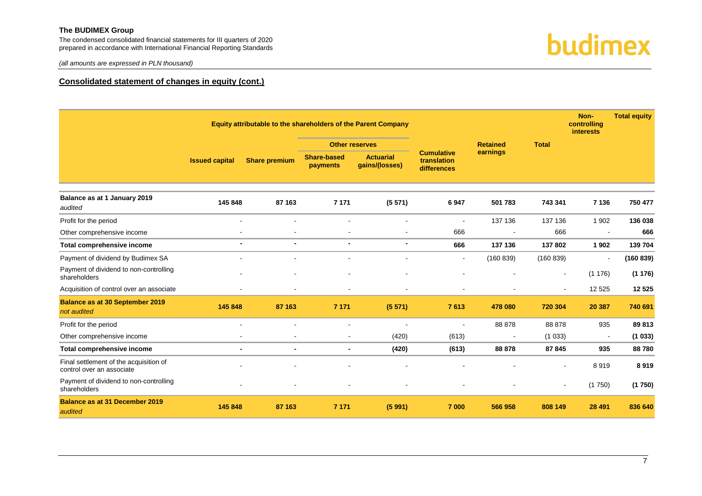The condensed consolidated financial statements for III quarters of 2020 prepared in accordance with International Financial Reporting Standards



*(all amounts are expressed in PLN thousand)*

#### **Consolidated statement of changes in equity (cont.)**

|                                                                     |                          |                                          |                                | Equity attributable to the shareholders of the Parent Company |                                                 |                          |                | Non-<br>controlling<br><b>interests</b> | <b>Total equity</b> |
|---------------------------------------------------------------------|--------------------------|------------------------------------------|--------------------------------|---------------------------------------------------------------|-------------------------------------------------|--------------------------|----------------|-----------------------------------------|---------------------|
|                                                                     |                          | <b>Retained</b><br><b>Other reserves</b> |                                | <b>Total</b>                                                  |                                                 |                          |                |                                         |                     |
|                                                                     | <b>Issued capital</b>    | <b>Share premium</b>                     | <b>Share-based</b><br>payments | <b>Actuarial</b><br>gains/(losses)                            | <b>Cumulative</b><br>translation<br>differences | earnings                 |                |                                         |                     |
| Balance as at 1 January 2019<br>audited                             | 145 848                  | 87 163                                   | 7 1 7 1                        | (5571)                                                        | 6947                                            | 501 783                  | 743 341        | 7 1 3 6                                 | 750 477             |
| Profit for the period                                               | $\overline{\phantom{a}}$ |                                          | $\blacksquare$                 |                                                               | $\blacksquare$                                  | 137 136                  | 137 136        | 1 9 0 2                                 | 136 038             |
| Other comprehensive income                                          |                          | $\blacksquare$                           | $\blacksquare$                 |                                                               | 666                                             | $\blacksquare$           | 666            | $\blacksquare$                          | 666                 |
| Total comprehensive income                                          | $\blacksquare$           | $\blacksquare$                           | $\blacksquare$                 | $\blacksquare$                                                | 666                                             | 137 136                  | 137 802        | 1902                                    | 139 704             |
| Payment of dividend by Budimex SA                                   |                          |                                          | $\blacksquare$                 |                                                               | $\blacksquare$                                  | (160 839)                | (160 839)      |                                         | (160 839)           |
| Payment of dividend to non-controlling<br>shareholders              |                          |                                          |                                |                                                               |                                                 |                          | $\blacksquare$ | (1176)                                  | (1176)              |
| Acquisition of control over an associate                            |                          | $\sim$                                   | $\overline{\phantom{a}}$       | $\overline{\phantom{a}}$                                      |                                                 | $\overline{\phantom{a}}$ | $\blacksquare$ | 12 5 25                                 | 12 5 25             |
| <b>Balance as at 30 September 2019</b><br>not audited               | 145 848                  | 87 163                                   | 7 1 7 1                        | (5571)                                                        | 7613                                            | 478 080                  | 720 304        | 20 387                                  | 740 691             |
| Profit for the period                                               |                          |                                          |                                |                                                               |                                                 | 88 878                   | 88 878         | 935                                     | 89 813              |
| Other comprehensive income                                          |                          |                                          | $\blacksquare$                 | (420)                                                         | (613)                                           | $\overline{\phantom{a}}$ | (1033)         | $\blacksquare$                          | (1033)              |
| Total comprehensive income                                          | $\blacksquare$           | $\blacksquare$                           | $\blacksquare$                 | (420)                                                         | (613)                                           | 88 878                   | 87 845         | 935                                     | 88780               |
| Final settlement of the acquisition of<br>control over an associate |                          |                                          |                                |                                                               |                                                 |                          |                | 8919                                    | 8919                |
| Payment of dividend to non-controlling<br>shareholders              |                          |                                          |                                |                                                               |                                                 |                          | $\blacksquare$ | (1750)                                  | (1750)              |
| <b>Balance as at 31 December 2019</b><br>audited                    | 145 848                  | 87 163                                   | 7 1 7 1                        | (5991)                                                        | 7 000                                           | 566 958                  | 808 149        | 28 4 91                                 | 836 640             |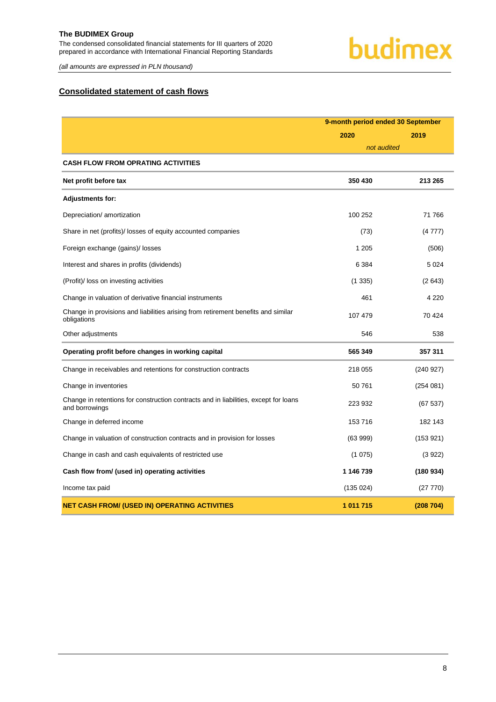The condensed consolidated financial statements for III quarters of 2020 prepared in accordance with International Financial Reporting Standards

### budimex

*(all amounts are expressed in PLN thousand)*

#### <span id="page-8-0"></span>**Consolidated statement of cash flows**

|                                                                                                        | 9-month period ended 30 September |           |  |
|--------------------------------------------------------------------------------------------------------|-----------------------------------|-----------|--|
|                                                                                                        | 2020                              | 2019      |  |
|                                                                                                        | not audited                       |           |  |
| <b>CASH FLOW FROM OPRATING ACTIVITIES</b>                                                              |                                   |           |  |
| Net profit before tax                                                                                  | 350 430                           | 213 265   |  |
| <b>Adjustments for:</b>                                                                                |                                   |           |  |
| Depreciation/ amortization                                                                             | 100 252                           | 71 766    |  |
| Share in net (profits)/ losses of equity accounted companies                                           | (73)                              | (4777)    |  |
| Foreign exchange (gains)/ losses                                                                       | 1 2 0 5                           | (506)     |  |
| Interest and shares in profits (dividends)                                                             | 6 3 8 4                           | 5024      |  |
| (Profit)/ loss on investing activities                                                                 | (1335)                            | (2643)    |  |
| Change in valuation of derivative financial instruments                                                | 461                               | 4 2 2 0   |  |
| Change in provisions and liabilities arising from retirement benefits and similar<br>obligations       | 107 479                           | 70 424    |  |
| Other adjustments                                                                                      | 546                               | 538       |  |
| Operating profit before changes in working capital                                                     | 565 349                           | 357 311   |  |
| Change in receivables and retentions for construction contracts                                        | 218 055                           | (240927)  |  |
| Change in inventories                                                                                  | 50761                             | (254 081) |  |
| Change in retentions for construction contracts and in liabilities, except for loans<br>and borrowings | 223 932                           | (67537)   |  |
| Change in deferred income                                                                              | 153716                            | 182 143   |  |
| Change in valuation of construction contracts and in provision for losses                              | (63999)                           | (153921)  |  |
| Change in cash and cash equivalents of restricted use                                                  | (1075)                            | (3922)    |  |
| Cash flow from/ (used in) operating activities                                                         | 1 146 739                         | (180934)  |  |
| Income tax paid                                                                                        | (135024)                          | (27 770)  |  |
| <b>NET CASH FROM/ (USED IN) OPERATING ACTIVITIES</b>                                                   | 1 011 715                         | (208704)  |  |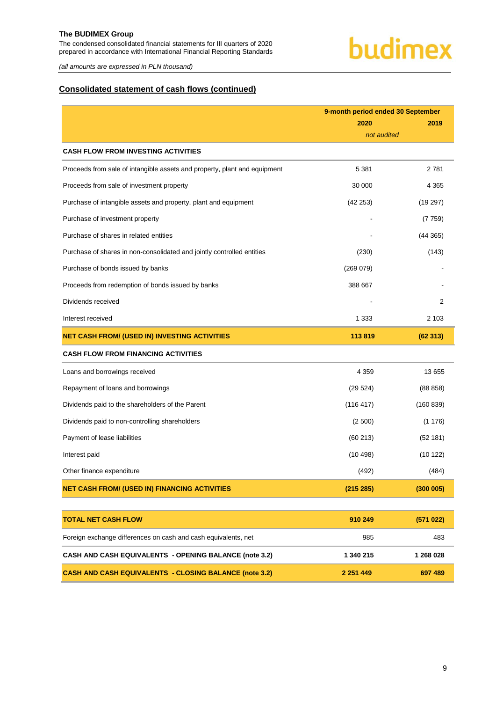The condensed consolidated financial statements for III quarters of 2020 prepared in accordance with International Financial Reporting Standards

*(all amounts are expressed in PLN thousand)*

#### **Consolidated statement of cash flows (continued)**

|                                                                           | 9-month period ended 30 September |           |  |  |
|---------------------------------------------------------------------------|-----------------------------------|-----------|--|--|
|                                                                           | 2020                              | 2019      |  |  |
|                                                                           | not audited                       |           |  |  |
| <b>CASH FLOW FROM INVESTING ACTIVITIES</b>                                |                                   |           |  |  |
| Proceeds from sale of intangible assets and property, plant and equipment | 5 3 8 1                           | 2781      |  |  |
| Proceeds from sale of investment property                                 | 30 000                            | 4 3 6 5   |  |  |
| Purchase of intangible assets and property, plant and equipment           | (42 253)                          | (19 297)  |  |  |
| Purchase of investment property                                           |                                   | (7759)    |  |  |
| Purchase of shares in related entities                                    |                                   | (44365)   |  |  |
| Purchase of shares in non-consolidated and jointly controlled entities    | (230)                             | (143)     |  |  |
| Purchase of bonds issued by banks                                         | (269 079)                         |           |  |  |
| Proceeds from redemption of bonds issued by banks                         | 388 667                           |           |  |  |
| Dividends received                                                        |                                   | 2         |  |  |
| Interest received                                                         | 1 3 3 3                           | 2 1 0 3   |  |  |
| <b>NET CASH FROM/ (USED IN) INVESTING ACTIVITIES</b>                      | 113819                            | (62313)   |  |  |
| <b>CASH FLOW FROM FINANCING ACTIVITIES</b>                                |                                   |           |  |  |
| Loans and borrowings received                                             | 4 3 5 9                           | 13 655    |  |  |
| Repayment of loans and borrowings                                         | (29524)                           | (88 858)  |  |  |
| Dividends paid to the shareholders of the Parent                          | (116 417)                         | (160 839) |  |  |
| Dividends paid to non-controlling shareholders                            | (2500)                            | (1176)    |  |  |
| Payment of lease liabilities                                              | (60213)                           | (52 181)  |  |  |
| Interest paid                                                             | (10498)                           | (10 122)  |  |  |
| Other finance expenditure                                                 | (492)                             | (484)     |  |  |
| <b>NET CASH FROM/ (USED IN) FINANCING ACTIVITIES</b>                      | (215 285)                         | (300005)  |  |  |
|                                                                           |                                   |           |  |  |
| <b>TOTAL NET CASH FLOW</b>                                                | 910 249                           | (571022)  |  |  |
| Foreign exchange differences on cash and cash equivalents, net            | 985                               | 483       |  |  |
| CASH AND CASH EQUIVALENTS - OPENING BALANCE (note 3.2)                    | 1 340 215                         | 1 268 028 |  |  |

**CASH AND CASH EQUIVALENTS - CLOSING BALANCE (note 3.2) 2 251 449 697 489**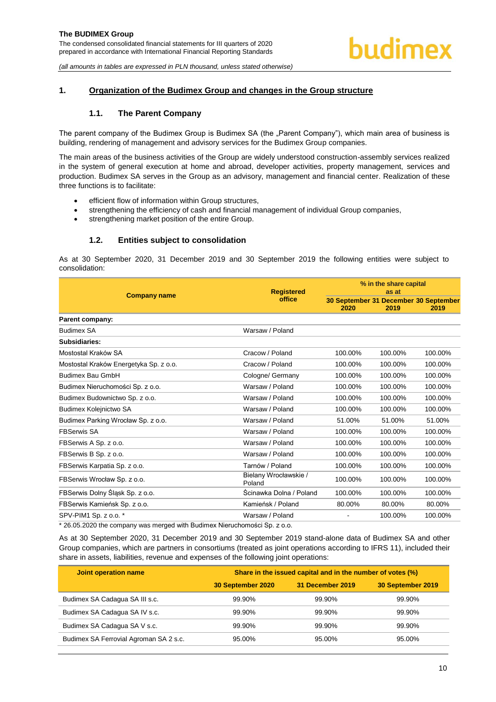#### <span id="page-10-1"></span><span id="page-10-0"></span>**1. Organization of the Budimex Group and changes in the Group structure**

#### **1.1. The Parent Company**

The parent company of the Budimex Group is Budimex SA (the "Parent Company"), which main area of business is building, rendering of management and advisory services for the Budimex Group companies.

The main areas of the business activities of the Group are widely understood construction-assembly services realized in the system of general execution at home and abroad, developer activities, property management, services and production. Budimex SA serves in the Group as an advisory, management and financial center. Realization of these three functions is to facilitate:

- efficient flow of information within Group structures,
- strengthening the efficiency of cash and financial management of individual Group companies,
- strengthening market position of the entire Group.

#### **1.2. Entities subject to consolidation**

<span id="page-10-2"></span>As at 30 September 2020, 31 December 2019 and 30 September 2019 the following entities were subject to consolidation:

|                                                                             | <b>Registered</b>               | % in the share capital<br>as at |         |                                               |  |
|-----------------------------------------------------------------------------|---------------------------------|---------------------------------|---------|-----------------------------------------------|--|
| <b>Company name</b>                                                         | office                          | 2020                            | 2019    | 30 September 31 December 30 September<br>2019 |  |
| Parent company:                                                             |                                 |                                 |         |                                               |  |
| <b>Budimex SA</b>                                                           | Warsaw / Poland                 |                                 |         |                                               |  |
| Subsidiaries:                                                               |                                 |                                 |         |                                               |  |
| Mostostal Kraków SA                                                         | Cracow / Poland                 | 100.00%                         | 100.00% | 100.00%                                       |  |
| Mostostal Kraków Energetyka Sp. z o.o.                                      | Cracow / Poland                 | 100.00%                         | 100.00% | 100.00%                                       |  |
| Budimex Bau GmbH                                                            | Cologne/ Germany                | 100.00%                         | 100.00% | 100.00%                                       |  |
| Budimex Nieruchomości Sp. z o.o.                                            | Warsaw / Poland                 | 100.00%                         | 100.00% | 100.00%                                       |  |
| Budimex Budownictwo Sp. z o.o.                                              | Warsaw / Poland                 | 100.00%                         | 100.00% | 100.00%                                       |  |
| Budimex Kolejnictwo SA                                                      | Warsaw / Poland                 | 100.00%                         | 100.00% | 100.00%                                       |  |
| Budimex Parking Wrocław Sp. z o.o.                                          | Warsaw / Poland                 | 51.00%                          | 51.00%  | 51.00%                                        |  |
| <b>FBSerwis SA</b>                                                          | Warsaw / Poland                 | 100.00%                         | 100.00% | 100.00%                                       |  |
| FBSerwis A Sp. z o.o.                                                       | Warsaw / Poland                 | 100.00%                         | 100.00% | 100.00%                                       |  |
| FBSerwis B Sp. z o.o.                                                       | Warsaw / Poland                 | 100.00%                         | 100.00% | 100.00%                                       |  |
| FBSerwis Karpatia Sp. z o.o.                                                | Tarnów / Poland                 | 100.00%                         | 100.00% | 100.00%                                       |  |
| FBSerwis Wrocław Sp. z o.o.                                                 | Bielany Wrocławskie /<br>Poland | 100.00%                         | 100.00% | 100.00%                                       |  |
| FBSerwis Dolny Śląsk Sp. z o.o.                                             | Ścinawka Dolna / Poland         | 100.00%                         | 100.00% | 100.00%                                       |  |
| FBSerwis Kamieńsk Sp. z o.o.                                                | Kamieńsk / Poland               | 80.00%                          | 80.00%  | 80.00%                                        |  |
| SPV-PIM1 Sp. z o.o. *                                                       | Warsaw / Poland                 |                                 | 100.00% | 100.00%                                       |  |
| $*$ 30.05.3030 the company was marged with Dudimay Niemahamaéai Cn. $=$ 0.0 |                                 |                                 |         |                                               |  |

\* 26.05.2020 the company was merged with Budimex Nieruchomości Sp. z o.o.

As at 30 September 2020, 31 December 2019 and 30 September 2019 stand-alone data of Budimex SA and other Group companies, which are partners in consortiums (treated as joint operations according to IFRS 11), included their share in assets, liabilities, revenue and expenses of the following joint operations:

| Joint operation name                   | Share in the issued capital and in the number of votes (%) |                  |                   |  |  |  |  |
|----------------------------------------|------------------------------------------------------------|------------------|-------------------|--|--|--|--|
|                                        | 30 September 2020                                          | 31 December 2019 | 30 September 2019 |  |  |  |  |
| Budimex SA Cadagua SA III s.c.         | 99.90%                                                     | 99.90%           | 99.90%            |  |  |  |  |
| Budimex SA Cadagua SA IV s.c.          | 99.90%                                                     | 99.90%           | 99.90%            |  |  |  |  |
| Budimex SA Cadagua SA V s.c.           | 99.90%                                                     | 99.90%           | 99.90%            |  |  |  |  |
| Budimex SA Ferrovial Agroman SA 2 s.c. | 95.00%                                                     | 95.00%           | 95.00%            |  |  |  |  |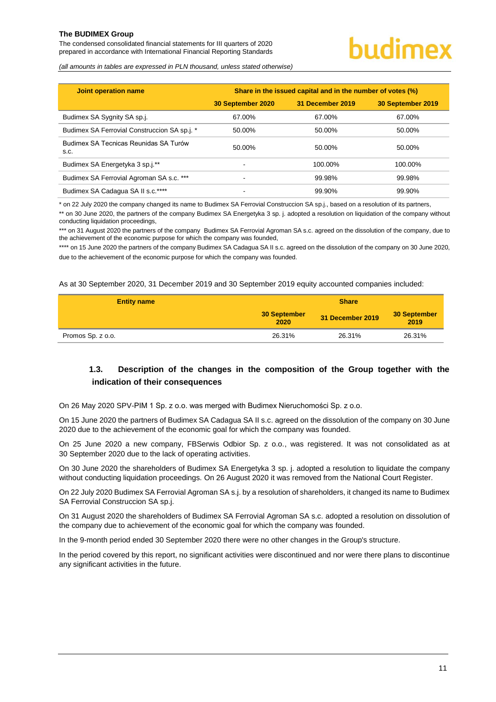The condensed consolidated financial statements for III quarters of 2020 prepared in accordance with International Financial Reporting Standards

### budimex

*(all amounts in tables are expressed in PLN thousand, unless stated otherwise)*

| Joint operation name                          | Share in the issued capital and in the number of votes (%) |                  |                   |  |  |  |
|-----------------------------------------------|------------------------------------------------------------|------------------|-------------------|--|--|--|
|                                               | 30 September 2020                                          | 31 December 2019 | 30 September 2019 |  |  |  |
| Budimex SA Sygnity SA sp.j.                   | 67.00%                                                     | 67.00%           | 67.00%            |  |  |  |
| Budimex SA Ferrovial Construccion SA sp.j. *  | 50.00%                                                     | 50.00%           | 50.00%            |  |  |  |
| Budimex SA Tecnicas Reunidas SA Turów<br>S.C. | 50.00%                                                     | 50.00%           | 50.00%            |  |  |  |
| Budimex SA Energetyka 3 sp.j.**               | ٠                                                          | 100.00%          | 100.00%           |  |  |  |
| Budimex SA Ferrovial Agroman SA s.c. ***      | ۰                                                          | 99.98%           | 99.98%            |  |  |  |
| Budimex SA Cadagua SA II s.c.****             | -                                                          | 99.90%           | 99.90%            |  |  |  |

\* on 22 July 2020 the company changed its name to Budimex SA Ferrovial Construccion SA sp.j., based on a resolution of its partners,

\*\* on 30 June 2020, the partners of the company Budimex SA Energetyka 3 sp. j. adopted a resolution on liquidation of the company without conducting liquidation proceedings,

\*\*\* on 31 August 2020 the partners of the company Budimex SA Ferrovial Agroman SA s.c. agreed on the dissolution of the company, due to the achievement of the economic purpose for which the company was founded,

\*\*\*\* on 15 June 2020 the partners of the company Budimex SA Cadagua SA II s.c. agreed on the dissolution of the company on 30 June 2020, due to the achievement of the economic purpose for which the company was founded.

As at 30 September 2020, 31 December 2019 and 30 September 2019 equity accounted companies included:

| <b>Entity name</b> | <b>Share</b>         |                  |                      |  |  |
|--------------------|----------------------|------------------|----------------------|--|--|
|                    | 30 September<br>2020 | 31 December 2019 | 30 September<br>2019 |  |  |
| Promos Sp. z o.o.  | 26.31%               | 26.31%           | 26.31%               |  |  |

#### <span id="page-11-0"></span>**1.3. Description of the changes in the composition of the Group together with the indication of their consequences**

On 26 May 2020 SPV-PIM 1 Sp. z o.o. was merged with Budimex Nieruchomości Sp. z o.o.

On 15 June 2020 the partners of Budimex SA Cadagua SA II s.c. agreed on the dissolution of the company on 30 June 2020 due to the achievement of the economic goal for which the company was founded.

On 25 June 2020 a new company, FBSerwis Odbior Sp. z o.o., was registered. It was not consolidated as at 30 September 2020 due to the lack of operating activities.

On 30 June 2020 the shareholders of Budimex SA Energetyka 3 sp. j. adopted a resolution to liquidate the company without conducting liquidation proceedings. On 26 August 2020 it was removed from the National Court Register.

On 22 July 2020 Budimex SA Ferrovial Agroman SA s.j. by a resolution of shareholders, it changed its name to Budimex SA Ferrovial Construccion SA sp.j.

On 31 August 2020 the shareholders of Budimex SA Ferrovial Agroman SA s.c. adopted a resolution on dissolution of the company due to achievement of the economic goal for which the company was founded.

In the 9-month period ended 30 September 2020 there were no other changes in the Group's structure.

In the period covered by this report, no significant activities were discontinued and nor were there plans to discontinue any significant activities in the future.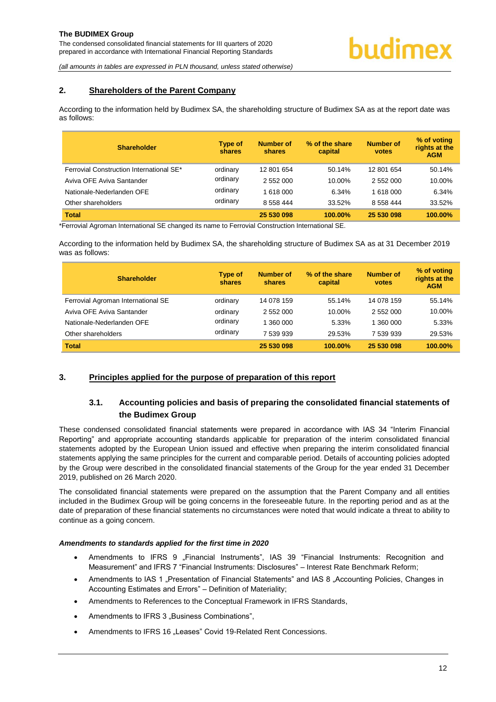#### <span id="page-12-0"></span>**2. Shareholders of the Parent Company**

According to the information held by Budimex SA, the shareholding structure of Budimex SA as at the report date was as follows:

| <b>Shareholder</b>                       | <b>Type of</b><br>shares | <b>Number of</b><br>shares | % of the share<br>capital | <b>Number of</b><br><b>votes</b> | % of voting<br>rights at the<br><b>AGM</b> |
|------------------------------------------|--------------------------|----------------------------|---------------------------|----------------------------------|--------------------------------------------|
| Ferrovial Construction International SE* | ordinary                 | 12 801 654                 | 50.14%                    | 12 801 654                       | 50.14%                                     |
| Aviva OFE Aviva Santander                | ordinary                 | 2 552 000                  | 10.00%                    | 2 552 000                        | 10.00%                                     |
| Nationale-Nederlanden OFE                | ordinary                 | 1 618 000                  | 6.34%                     | 1 618 000                        | 6.34%                                      |
| Other shareholders                       | ordinary                 | 8 558 444                  | 33.52%                    | 8 558 444                        | 33.52%                                     |
| <b>Total</b>                             |                          | 25 530 098                 | <b>100.00%</b>            | 25 530 098                       | 100.00%                                    |

\*Ferrovial Agroman International SE changed its name to Ferrovial Construction International SE.

According to the information held by Budimex SA, the shareholding structure of Budimex SA as at 31 December 2019 was as follows:

| <b>Shareholder</b>                 | <b>Type of</b><br>shares | <b>Number of</b><br>shares | % of the share<br>capital | Number of<br>votes | % of voting<br>rights at the<br><b>AGM</b> |
|------------------------------------|--------------------------|----------------------------|---------------------------|--------------------|--------------------------------------------|
| Ferrovial Agroman International SE | ordinary                 | 14 078 159                 | 55.14%                    | 14 078 159         | 55.14%                                     |
| Aviva OFE Aviva Santander          | ordinary                 | 2 552 000                  | 10.00%                    | 2 552 000          | 10.00%                                     |
| Nationale-Nederlanden OFE          | ordinary                 | 1 360 000                  | 5.33%                     | 1 360 000          | 5.33%                                      |
| Other shareholders                 | ordinary                 | 7 539 939                  | 29.53%                    | 7 539 939          | 29.53%                                     |
| <b>Total</b>                       |                          | 25 530 098                 | <b>100.00%</b>            | 25 530 098         | 100.00%                                    |

#### <span id="page-12-2"></span><span id="page-12-1"></span>**3. Principles applied for the purpose of preparation of this report**

#### **3.1. Accounting policies and basis of preparing the consolidated financial statements of the Budimex Group**

These condensed consolidated financial statements were prepared in accordance with IAS 34 "Interim Financial Reporting" and appropriate accounting standards applicable for preparation of the interim consolidated financial statements adopted by the European Union issued and effective when preparing the interim consolidated financial statements applying the same principles for the current and comparable period. Details of accounting policies adopted by the Group were described in the consolidated financial statements of the Group for the year ended 31 December 2019, published on 26 March 2020.

The consolidated financial statements were prepared on the assumption that the Parent Company and all entities included in the Budimex Group will be going concerns in the foreseeable future. In the reporting period and as at the date of preparation of these financial statements no circumstances were noted that would indicate a threat to ability to continue as a going concern.

#### *Amendments to standards applied for the first time in 2020*

- Amendments to IFRS 9 "Financial Instruments", IAS 39 "Financial Instruments: Recognition and Measurement" and IFRS 7 "Financial Instruments: Disclosures" – Interest Rate Benchmark Reform;
- Amendments to IAS 1 "Presentation of Financial Statements" and IAS 8 "Accounting Policies, Changes in Accounting Estimates and Errors" – Definition of Materiality;
- Amendments to References to the Conceptual Framework in IFRS Standards,
- Amendments to IFRS 3 ..Business Combinations".
- Amendments to IFRS 16 .Leases" Covid 19-Related Rent Concessions.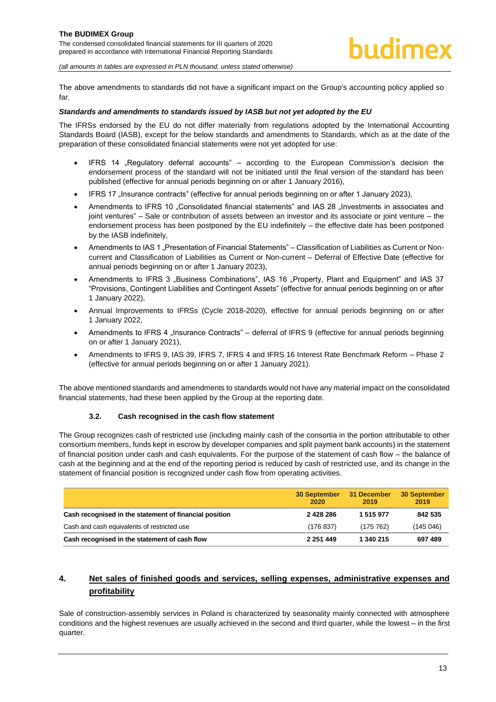The above amendments to standards did not have a significant impact on the Group's accounting policy applied so far.

#### *Standards and amendments to standards issued by IASB but not yet adopted by the EU*

The IFRSs endorsed by the EU do not differ materially from regulations adopted by the International Accounting Standards Board (IASB), except for the below standards and amendments to Standards, which as at the date of the preparation of these consolidated financial statements were not yet adopted for use:

- IFRS 14 "Regulatory deferral accounts" according to the European Commission's decision the endorsement process of the standard will not be initiated until the final version of the standard has been published (effective for annual periods beginning on or after 1 January 2016),
- IFRS 17 "Insurance contracts" (effective for annual periods beginning on or after 1 January 2023),
- Amendments to IFRS 10 "Consolidated financial statements" and IAS 28 "Investments in associates and joint ventures" – Sale or contribution of assets between an investor and its associate or joint venture – the endorsement process has been postponed by the EU indefinitely – the effective date has been postponed by the IASB indefinitely,
- Amendments to IAS 1 ..Presentation of Financial Statements" Classification of Liabilities as Current or Noncurrent and Classification of Liabilities as Current or Non-current – Deferral of Effective Date (effective for annual periods beginning on or after 1 January 2023),
- Amendments to IFRS 3 "Business Combinations", IAS 16 "Property, Plant and Equipment" and IAS 37 "Provisions, Contingent Liabilities and Contingent Assets" (effective for annual periods beginning on or after 1 January 2022),
- Annual Improvements to IFRSs (Cycle 2018-2020), effective for annual periods beginning on or after 1 January 2022,
- Amendments to IFRS 4 "Insurance Contracts" deferral of IFRS 9 (effective for annual periods beginning on or after 1 January 2021),
- Amendments to IFRS 9, IAS 39, IFRS 7, IFRS 4 and IFRS 16 Interest Rate Benchmark Reform Phase 2 (effective for annual periods beginning on or after 1 January 2021).

The above mentioned standards and amendments to standards would not have any material impact on the consolidated financial statements, had these been applied by the Group at the reporting date.

#### **3.2. Cash recognised in the cash flow statement**

<span id="page-13-0"></span>The Group recognizes cash of restricted use (including mainly cash of the consortia in the portion attributable to other consortium members, funds kept in escrow by developer companies and split payment bank accounts) in the statement of financial position under cash and cash equivalents. For the purpose of the statement of cash flow – the balance of cash at the beginning and at the end of the reporting period is reduced by cash of restricted use, and its change in the statement of financial position is recognized under cash flow from operating activities.

|                                                        | 30 September<br>2020 | 31 December<br>2019 | 30 September<br>2019 |
|--------------------------------------------------------|----------------------|---------------------|----------------------|
| Cash recognised in the statement of financial position | 2 4 2 8 2 8 6        | 1 515 977           | 842 535              |
| Cash and cash equivalents of restricted use            | (176837)             | (175, 762)          | (145046)             |
| Cash recognised in the statement of cash flow          | 2 2 5 1 4 4 9        | 1 340 215           | 697489               |

#### <span id="page-13-1"></span>**4. Net sales of finished goods and services, selling expenses, administrative expenses and profitability**

Sale of construction-assembly services in Poland is characterized by seasonality mainly connected with atmosphere conditions and the highest revenues are usually achieved in the second and third quarter, while the lowest – in the first quarter.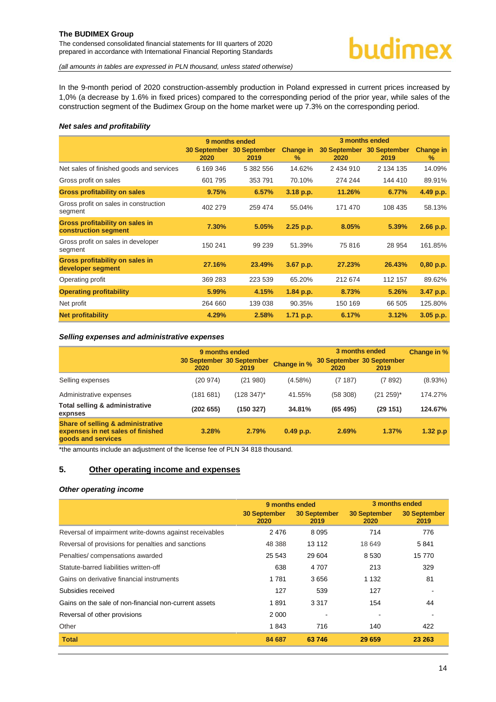The condensed consolidated financial statements for III quarters of 2020 prepared in accordance with International Financial Reporting Standards

*(all amounts in tables are expressed in PLN thousand, unless stated otherwise)*

In the 9-month period of 2020 construction-assembly production in Poland expressed in current prices increased by 1,0% (a decrease by 1.6% in fixed prices) compared to the corresponding period of the prior year, while sales of the construction segment of the Budimex Group on the home market were up 7.3% on the corresponding period.

#### *Net sales and profitability*

|                                                         | 9 months ended |                                   |                       | 3 months ended |                                   |                          |
|---------------------------------------------------------|----------------|-----------------------------------|-----------------------|----------------|-----------------------------------|--------------------------|
|                                                         | 2020           | 30 September 30 September<br>2019 | <b>Change in</b><br>% | 2020           | 30 September 30 September<br>2019 | <b>Change in</b><br>$\%$ |
| Net sales of finished goods and services                | 6 169 346      | 5 382 556                         | 14.62%                | 2 434 910      | 2 134 135                         | 14.09%                   |
| Gross profit on sales                                   | 601 795        | 353 791                           | 70.10%                | 274 244        | 144 410                           | 89.91%                   |
| <b>Gross profitability on sales</b>                     | 9.75%          | 6.57%                             | 3.18 p.p.             | 11.26%         | 6.77%                             | 4.49 p.p.                |
| Gross profit on sales in construction<br>segment        | 402 279        | 259 474                           | 55.04%                | 171 470        | 108 435                           | 58.13%                   |
| Gross profitability on sales in<br>construction segment | 7.30%          | 5.05%                             | 2.25 p.p.             | 8.05%          | 5.39%                             | 2.66 p.p.                |
| Gross profit on sales in developer<br>segment           | 150 241        | 99 239                            | 51.39%                | 75816          | 28 954                            | 161.85%                  |
| Gross profitability on sales in<br>developer segment    | 27.16%         | 23.49%                            | 3.67 p.p.             | 27.23%         | 26.43%                            | 0,80 p.p.                |
| Operating profit                                        | 369 283        | 223 539                           | 65.20%                | 212 674        | 112 157                           | 89.62%                   |
| <b>Operating profitability</b>                          | 5.99%          | 4.15%                             | 1.84 p.p.             | 8.73%          | 5.26%                             | 3.47 p.p.                |
| Net profit                                              | 264 660        | 139 038                           | 90.35%                | 150 169        | 66 505                            | 125.80%                  |
| <b>Net profitability</b>                                | 4.29%          | 2.58%                             | 1.71 p.p.             | 6.17%          | 3.12%                             | 3.05 p.p.                |

#### *Selling expenses and administrative expenses*

|                                                                                                         |                                   | 9 months ended |                    |           | 3 months ended                    |            |  |
|---------------------------------------------------------------------------------------------------------|-----------------------------------|----------------|--------------------|-----------|-----------------------------------|------------|--|
|                                                                                                         | 30 September 30 September<br>2020 | 2019           | <b>Change in %</b> | 2020      | 30 September 30 September<br>2019 |            |  |
| Selling expenses                                                                                        | (20974)                           | (21980)        | $(4.58\%)$         | (7187)    | (7892)                            | $(8.93\%)$ |  |
| Administrative expenses                                                                                 | (181 681)                         | $(128 347)^*$  | 41.55%             | (58, 308) | $(21 259)^*$                      | 174.27%    |  |
| Total selling & administrative<br>expnses                                                               | (202655)                          | (150327)       | 34.81%             | (65, 495) | (29151)                           | 124.67%    |  |
| <b>Share of selling &amp; administrative</b><br>expenses in net sales of finished<br>goods and services | 3.28%                             | 2.79%          | $0.49$ p.p.        | 2.69%     | 1.37%                             | 1.32 p.p.  |  |

\*the amounts include an adjustment of the license fee of PLN 34 818 thousand.

#### <span id="page-14-0"></span>**5. Other operating income and expenses**

#### *Other operating income*

|                                                        | 9 months ended              |                             |                             | 3 months ended              |
|--------------------------------------------------------|-----------------------------|-----------------------------|-----------------------------|-----------------------------|
|                                                        | <b>30 September</b><br>2020 | <b>30 September</b><br>2019 | <b>30 September</b><br>2020 | <b>30 September</b><br>2019 |
| Reversal of impairment write-downs against receivables | 2476                        | 8095                        | 714                         | 776                         |
| Reversal of provisions for penalties and sanctions     | 48 388                      | 13 112                      | 18 649                      | 5841                        |
| Penalties/compensations awarded                        | 25 543                      | 29 604                      | 8 5 3 0                     | 15 770                      |
| Statute-barred liabilities written-off                 | 638                         | 4 707                       | 213                         | 329                         |
| Gains on derivative financial instruments              | 1 7 8 1                     | 3656                        | 1 1 3 2                     | 81                          |
| Subsidies received                                     | 127                         | 539                         | 127                         |                             |
| Gains on the sale of non-financial non-current assets  | 1891                        | 3 3 1 7                     | 154                         | 44                          |
| Reversal of other provisions                           | 2 0 0 0                     |                             |                             |                             |
| Other                                                  | 1843                        | 716                         | 140                         | 422                         |
| <b>Total</b>                                           | 84 687                      | 63746                       | 29 659                      | 23 263                      |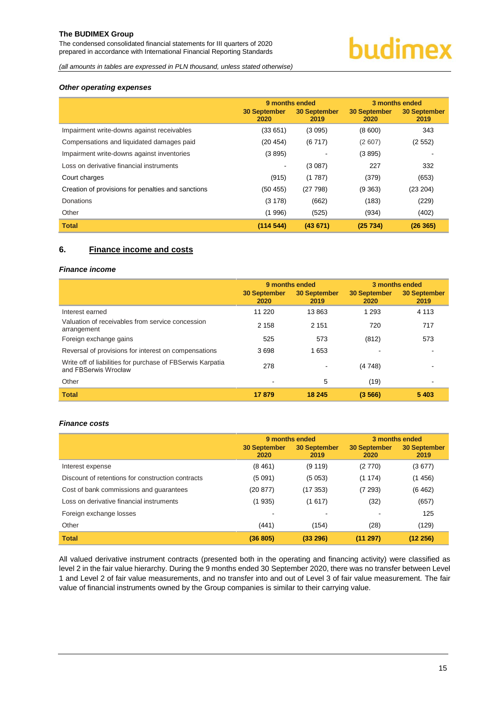The condensed consolidated financial statements for III quarters of 2020 prepared in accordance with International Financial Reporting Standards

# budimex

*(all amounts in tables are expressed in PLN thousand, unless stated otherwise)*

#### *Other operating expenses*

|                                                    | 9 months ended              |                             | 3 months ended              |                             |
|----------------------------------------------------|-----------------------------|-----------------------------|-----------------------------|-----------------------------|
|                                                    | <b>30 September</b><br>2020 | <b>30 September</b><br>2019 | <b>30 September</b><br>2020 | <b>30 September</b><br>2019 |
| Impairment write-downs against receivables         | (33651)                     | (3095)                      | (8600)                      | 343                         |
| Compensations and liquidated damages paid          | (20 454)                    | (6717)                      | (2607)                      | (2552)                      |
| Impairment write-downs against inventories         | (3895)                      |                             | (3895)                      |                             |
| Loss on derivative financial instruments           | $\overline{\phantom{a}}$    | (3087)                      | 227                         | 332                         |
| Court charges                                      | (915)                       | (1787)                      | (379)                       | (653)                       |
| Creation of provisions for penalties and sanctions | (50455)                     | (27798)                     | (9363)                      | (23 204)                    |
| Donations                                          | (3178)                      | (662)                       | (183)                       | (229)                       |
| Other                                              | (1996)                      | (525)                       | (934)                       | (402)                       |
| <b>Total</b>                                       | (114544)                    | (43671)                     | (25734)                     | (26365)                     |

#### <span id="page-15-0"></span>**6. Finance income and costs**

#### *Finance income*

|                                                                                    | 9 months ended              |                      | 3 months ended              |                             |
|------------------------------------------------------------------------------------|-----------------------------|----------------------|-----------------------------|-----------------------------|
|                                                                                    | <b>30 September</b><br>2020 | 30 September<br>2019 | <b>30 September</b><br>2020 | <b>30 September</b><br>2019 |
| Interest earned                                                                    | 11 2 20                     | 13863                | 1 2 9 3                     | 4 1 1 3                     |
| Valuation of receivables from service concession<br>arrangement                    | 2 1 5 8                     | 2 1 5 1              | 720                         | 717                         |
| Foreign exchange gains                                                             | 525                         | 573                  | (812)                       | 573                         |
| Reversal of provisions for interest on compensations                               | 3698                        | 1653                 | ٠                           |                             |
| Write off of liabilities for purchase of FBSerwis Karpatia<br>and FBSerwis Wrocław | 278                         |                      | (4 748)                     |                             |
| Other                                                                              | ۰                           | 5                    | (19)                        |                             |
| <b>Total</b>                                                                       | 17879                       | 18 245               | (3566)                      | 5403                        |

#### *Finance costs*

|                                                   | 9 months ended              |                             | 3 months ended              |                             |
|---------------------------------------------------|-----------------------------|-----------------------------|-----------------------------|-----------------------------|
|                                                   | <b>30 September</b><br>2020 | <b>30 September</b><br>2019 | <b>30 September</b><br>2020 | <b>30 September</b><br>2019 |
| Interest expense                                  | (8461)                      | (9119)                      | (2770)                      | (3677)                      |
| Discount of retentions for construction contracts | (5091)                      | (5053)                      | (1174)                      | (1456)                      |
| Cost of bank commissions and guarantees           | (20 877)                    | (17353)                     | (7293)                      | (6462)                      |
| Loss on derivative financial instruments          | (1935)                      | (1617)                      | (32)                        | (657)                       |
| Foreign exchange losses                           |                             |                             |                             | 125                         |
| Other                                             | (441)                       | (154)                       | (28)                        | (129)                       |
| <b>Total</b>                                      | (36 805)                    | (33 296)                    | (11 297)                    | (12 256)                    |

All valued derivative instrument contracts (presented both in the operating and financing activity) were classified as level 2 in the fair value hierarchy. During the 9 months ended 30 September 2020, there was no transfer between Level 1 and Level 2 of fair value measurements, and no transfer into and out of Level 3 of fair value measurement. The fair value of financial instruments owned by the Group companies is similar to their carrying value.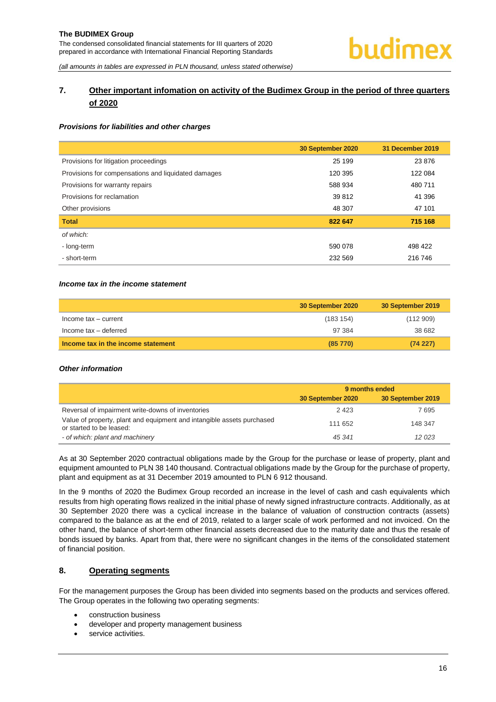#### <span id="page-16-0"></span>**7. Other important infomation on activity of the Budimex Group in the period of three quarters of 2020**

#### *Provisions for liabilities and other charges*

|                                                     | 30 September 2020 | 31 December 2019 |
|-----------------------------------------------------|-------------------|------------------|
| Provisions for litigation proceedings               | 25 199            | 23 876           |
| Provisions for compensations and liquidated damages | 120 395           | 122 084          |
| Provisions for warranty repairs                     | 588 934           | 480 711          |
| Provisions for reclamation                          | 39 812            | 41 396           |
| Other provisions                                    | 48 307            | 47 101           |
| <b>Total</b>                                        | 822 647           | 715 168          |
| of which:                                           |                   |                  |
| - long-term                                         | 590 078           | 498 422          |
| - short-term                                        | 232 569           | 216 746          |

#### *Income tax in the income statement*

|                                    | 30 September 2020 | 30 September 2019 |
|------------------------------------|-------------------|-------------------|
| Income tax - current               | (183 154)         | (112909)          |
| Income tax - deferred              | 97 384            | 38 682            |
| Income tax in the income statement | $(85\ 770)$       | (74227)           |

#### *Other information*

|                                                                                                    | 9 months ended    |                   |  |
|----------------------------------------------------------------------------------------------------|-------------------|-------------------|--|
|                                                                                                    | 30 September 2020 | 30 September 2019 |  |
| Reversal of impairment write-downs of inventories                                                  | 2 4 2 3           | 7695              |  |
| Value of property, plant and equipment and intangible assets purchased<br>or started to be leased: | 111 652           | 148 347           |  |
| - of which: plant and machinery                                                                    | 45 341            | 12 023            |  |

As at 30 September 2020 contractual obligations made by the Group for the purchase or lease of property, plant and equipment amounted to PLN 38 140 thousand. Contractual obligations made by the Group for the purchase of property, plant and equipment as at 31 December 2019 amounted to PLN 6 912 thousand.

In the 9 months of 2020 the Budimex Group recorded an increase in the level of cash and cash equivalents which results from high operating flows realized in the initial phase of newly signed infrastructure contracts. Additionally, as at 30 September 2020 there was a cyclical increase in the balance of valuation of construction contracts (assets) compared to the balance as at the end of 2019, related to a larger scale of work performed and not invoiced. On the other hand, the balance of short-term other financial assets decreased due to the maturity date and thus the resale of bonds issued by banks. Apart from that, there were no significant changes in the items of the consolidated statement of financial position.

#### <span id="page-16-1"></span>**8. Operating segments**

For the management purposes the Group has been divided into segments based on the products and services offered. The Group operates in the following two operating segments:

- construction business
- developer and property management business
- service activities.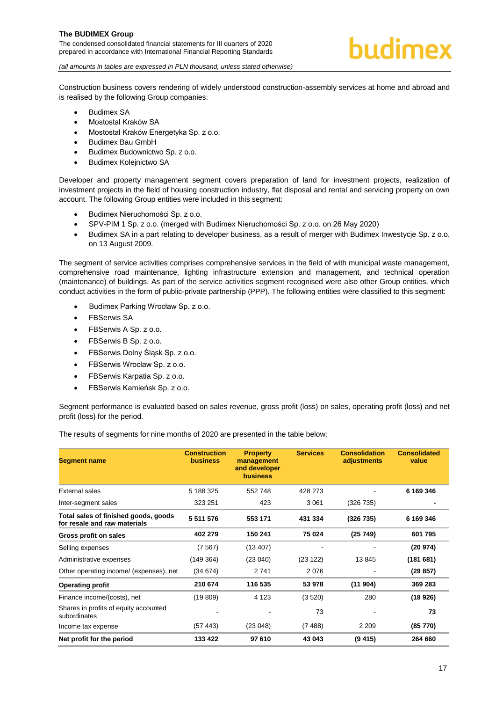Construction business covers rendering of widely understood construction-assembly services at home and abroad and is realised by the following Group companies:

- Budimex SA
- Mostostal Kraków SA
- Mostostal Kraków Energetyka Sp. z o.o.
- Budimex Bau GmbH
- Budimex Budownictwo Sp. z o.o.
- Budimex Kolejnictwo SA

Developer and property management segment covers preparation of land for investment projects, realization of investment projects in the field of housing construction industry, flat disposal and rental and servicing property on own account. The following Group entities were included in this segment:

- Budimex Nieruchomości Sp. z o.o.
- SPV-PIM 1 Sp. z o.o. (merged with Budimex Nieruchomości Sp. z o.o. on 26 May 2020)
- Budimex SA in a part relating to developer business, as a result of merger with Budimex Inwestycie Sp. z o.o. on 13 August 2009.

The segment of service activities comprises comprehensive services in the field of with municipal waste management, comprehensive road maintenance, lighting infrastructure extension and management, and technical operation (maintenance) of buildings. As part of the service activities segment recognised were also other Group entities, which conduct activities in the form of public-private partnership (PPP). The following entities were classified to this segment:

- Budimex Parking Wrocław Sp. z o.o.
- **FBSerwis SA**
- FBSerwis A Sp. z o.o.
- FBSerwis B Sp. z o.o.
- FBSerwis Dolny Śląsk Sp. z o.o.
- FBSerwis Wrocław Sp. z o.o.
- FBSerwis Karpatia Sp. z o.o.
- FBSerwis Kamieńsk Sp. z o.o.

Segment performance is evaluated based on sales revenue, gross profit (loss) on sales, operating profit (loss) and net profit (loss) for the period.

The results of segments for nine months of 2020 are presented in the table below:

| <b>Segment name</b>                                                  | <b>Construction</b><br><b>business</b> | <b>Property</b><br>management<br>and developer<br><b>business</b> | <b>Services</b> | <b>Consolidation</b><br>adjustments | <b>Consolidated</b><br>value |
|----------------------------------------------------------------------|----------------------------------------|-------------------------------------------------------------------|-----------------|-------------------------------------|------------------------------|
| External sales                                                       | 5 188 325                              | 552 748                                                           | 428 273         |                                     | 6 169 346                    |
| Inter-segment sales                                                  | 323 251                                | 423                                                               | 3 0 6 1         | (326 735)                           |                              |
| Total sales of finished goods, goods<br>for resale and raw materials | 5 511 576                              | 553 171                                                           | 431 334         | (326 735)                           | 6 169 346                    |
| Gross profit on sales                                                | 402 279                                | 150 241                                                           | 75 024          | (25749)                             | 601 795                      |
| Selling expenses                                                     | (7567)                                 | (13 407)                                                          |                 |                                     | (20974)                      |
| Administrative expenses                                              | (149364)                               | (23040)                                                           | (23 122)        | 13845                               | (181681)                     |
| Other operating income/ (expenses), net                              | (34674)                                | 2741                                                              | 2076            |                                     | (29857)                      |
| <b>Operating profit</b>                                              | 210 674                                | 116 535                                                           | 53 978          | (11904)                             | 369 283                      |
| Finance income/(costs), net                                          | (19809)                                | 4 1 2 3                                                           | (3 520)         | 280                                 | (18926)                      |
| Shares in profits of equity accounted<br>subordinates                |                                        |                                                                   | 73              |                                     | 73                           |
| Income tax expense                                                   | (57443)                                | (23048)                                                           | (7488)          | 2 2 0 9                             | (85 770)                     |
| Net profit for the period                                            | 133 422                                | 97 610                                                            | 43 043          | (9, 415)                            | 264 660                      |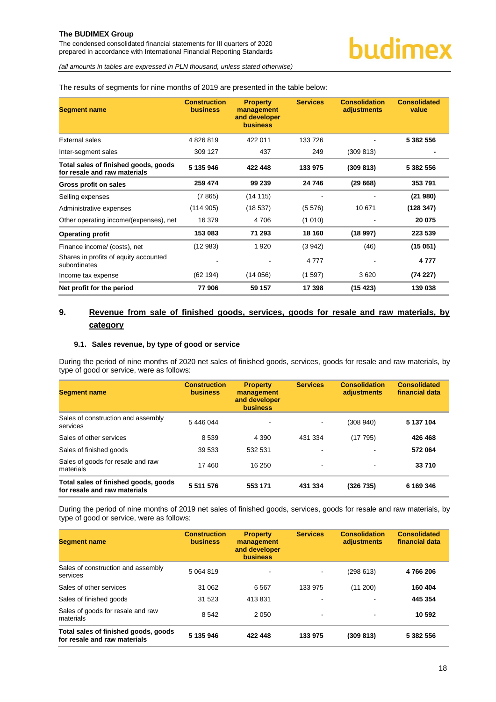The condensed consolidated financial statements for III quarters of 2020 prepared in accordance with International Financial Reporting Standards

*(all amounts in tables are expressed in PLN thousand, unless stated otherwise)*

#### The results of segments for nine months of 2019 are presented in the table below:

| <b>Segment name</b>                                                  | <b>Construction</b><br><b>business</b> | <b>Property</b><br>management<br>and developer<br><b>business</b> | <b>Services</b> | <b>Consolidation</b><br>adjustments | <b>Consolidated</b><br>value |
|----------------------------------------------------------------------|----------------------------------------|-------------------------------------------------------------------|-----------------|-------------------------------------|------------------------------|
| External sales                                                       | 4826819                                | 422 011                                                           | 133 726         |                                     | 5 382 556                    |
| Inter-segment sales                                                  | 309 127                                | 437                                                               | 249             | (309 813)                           |                              |
| Total sales of finished goods, goods<br>for resale and raw materials | 5 135 946                              | 422 448                                                           | 133 975         | (309 813)                           | 5 382 556                    |
| Gross profit on sales                                                | 259 474                                | 99 239                                                            | 24 746          | (29668)                             | 353791                       |
| Selling expenses                                                     | (7865)                                 | (14115)                                                           |                 |                                     | (21980)                      |
| Administrative expenses                                              | (114905)                               | (18537)                                                           | (5576)          | 10 671                              | (128347)                     |
| Other operating income/(expenses), net                               | 16 379                                 | 4 706                                                             | (1010)          |                                     | 20 075                       |
| <b>Operating profit</b>                                              | 153 083                                | 71 293                                                            | 18 160          | (18997)                             | 223 539                      |
| Finance income/ (costs), net                                         | (12983)                                | 1920                                                              | (3942)          | (46)                                | (15051)                      |
| Shares in profits of equity accounted<br>subordinates                |                                        |                                                                   | 4 7 7 7         |                                     | 4 7 7 7                      |
| Income tax expense                                                   | (62194)                                | (14056)                                                           | (1597)          | 3620                                | (74227)                      |
| Net profit for the period                                            | 77906                                  | 59 157                                                            | 17 398          | (15423)                             | 139 038                      |

#### <span id="page-18-0"></span>**9. Revenue from sale of finished goods, services, goods for resale and raw materials, by category**

#### <span id="page-18-1"></span>**9.1. Sales revenue, by type of good or service**

During the period of nine months of 2020 net sales of finished goods, services, goods for resale and raw materials, by type of good or service, were as follows:

| <b>Segment name</b>                                                  | <b>Construction</b><br><b>business</b> | <b>Property</b><br>management<br>and developer<br><b>business</b> | <b>Services</b>          | <b>Consolidation</b><br>adjustments | <b>Consolidated</b><br>financial data |
|----------------------------------------------------------------------|----------------------------------------|-------------------------------------------------------------------|--------------------------|-------------------------------------|---------------------------------------|
| Sales of construction and assembly<br>services                       | 5 446 044                              | $\overline{\phantom{a}}$                                          | $\blacksquare$           | (308940)                            | 5 137 104                             |
| Sales of other services                                              | 8539                                   | 4 3 9 0                                                           | 431 334                  | (17795)                             | 426 468                               |
| Sales of finished goods                                              | 39 533                                 | 532 531                                                           | $\overline{\phantom{a}}$ | $\blacksquare$                      | 572064                                |
| Sales of goods for resale and raw<br>materials                       | 17460                                  | 16 250                                                            | $\overline{\phantom{a}}$ | $\blacksquare$                      | 33710                                 |
| Total sales of finished goods, goods<br>for resale and raw materials | 5 5 1 1 5 7 6                          | 553 171                                                           | 431 334                  | (326735)                            | 6 169 346                             |

During the period of nine months of 2019 net sales of finished goods, services, goods for resale and raw materials, by type of good or service, were as follows:

| <b>Segment name</b>                                                  | <b>Construction</b><br><b>business</b> | <b>Property</b><br>management<br>and developer<br><b>business</b> | <b>Services</b> | <b>Consolidation</b><br>adjustments | <b>Consolidated</b><br>financial data |
|----------------------------------------------------------------------|----------------------------------------|-------------------------------------------------------------------|-----------------|-------------------------------------|---------------------------------------|
| Sales of construction and assembly<br>services                       | 5 064 819                              | $\blacksquare$                                                    | $\sim$          | (298613)                            | 4766206                               |
| Sales of other services                                              | 31 062                                 | 6 5 6 7                                                           | 133 975         | (11 200)                            | 160 404                               |
| Sales of finished goods                                              | 31 523                                 | 413831                                                            | $\blacksquare$  | $\blacksquare$                      | 445 354                               |
| Sales of goods for resale and raw<br>materials                       | 8542                                   | 2 0 5 0                                                           | $\,$            | $\blacksquare$                      | 10 592                                |
| Total sales of finished goods, goods<br>for resale and raw materials | 5 135 946                              | 422 448                                                           | 133 975         | (309 813)                           | 5 382 556                             |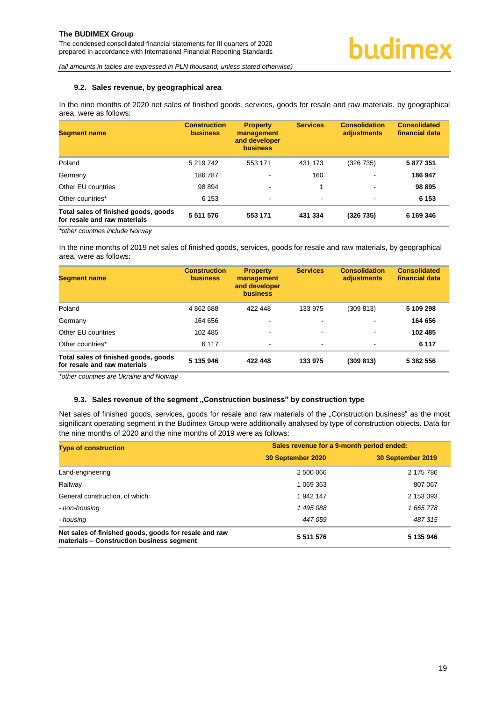#### <span id="page-19-0"></span>**9.2. Sales revenue, by geographical area**

In the nine months of 2020 net sales of finished goods, services, goods for resale and raw materials, by geographical area, were as follows:

| <b>Segment name</b>                                                  | <b>Construction</b><br><b>business</b> | <b>Property</b><br>management<br>and developer<br><b>business</b> | <b>Services</b>          | <b>Consolidation</b><br>adjustments | <b>Consolidated</b><br>financial data |
|----------------------------------------------------------------------|----------------------------------------|-------------------------------------------------------------------|--------------------------|-------------------------------------|---------------------------------------|
| Poland                                                               | 5 219 742                              | 553 171                                                           | 431 173                  | (326 735)                           | 5 877 351                             |
| Germany                                                              | 186787                                 | $\overline{\phantom{a}}$                                          | 160                      |                                     | 186 947                               |
| Other EU countries                                                   | 98 894                                 | $\,$                                                              |                          | -                                   | 98 895                                |
| Other countries*                                                     | 6 1 5 3                                | $\sim$                                                            | $\overline{\phantom{a}}$ | $\blacksquare$                      | 6 1 5 3                               |
| Total sales of finished goods, goods<br>for resale and raw materials | 5 5 1 1 5 7 6                          | 553 171                                                           | 431 334                  | (326 735)                           | 6 169 346                             |

*\*other countries include Norway*

In the nine months of 2019 net sales of finished goods, services, goods for resale and raw materials, by geographical area, were as follows:

| <b>Segment name</b>                                                  | <b>Construction</b><br><b>business</b> | <b>Property</b><br>management<br>and developer<br><b>business</b> | <b>Services</b>          | <b>Consolidation</b><br>adjustments | <b>Consolidated</b><br>financial data |
|----------------------------------------------------------------------|----------------------------------------|-------------------------------------------------------------------|--------------------------|-------------------------------------|---------------------------------------|
| Poland                                                               | 4 862 688                              | 422 448                                                           | 133 975                  | (309 813)                           | 5 109 298                             |
| Germany                                                              | 164 656                                | $\overline{\phantom{a}}$                                          | $\overline{\phantom{0}}$ | -                                   | 164 656                               |
| Other EU countries                                                   | 102 485                                | $\overline{\phantom{a}}$                                          | $\overline{\phantom{a}}$ | $\overline{\phantom{a}}$            | 102 485                               |
| Other countries*                                                     | 6 1 1 7                                | $\overline{\phantom{a}}$                                          | $\overline{\phantom{a}}$ | $\overline{\phantom{a}}$            | 6 1 1 7                               |
| Total sales of finished goods, goods<br>for resale and raw materials | 5 135 946                              | 422 448                                                           | 133 975                  | (309 813)                           | 5 382 556                             |

*\*other countries are Ukraine and Norway*

#### <span id="page-19-1"></span>**9.3. Sales revenue of the segment "Construction business" by construction type**

Net sales of finished goods, services, goods for resale and raw materials of the "Construction business" as the most significant operating segment in the Budimex Group were additionally analysed by type of construction objects. Data for the nine months of 2020 and the nine months of 2019 were as follows:

| <b>Type of construction</b>                                                                        | Sales revenue for a 9-month period ended: |                   |  |  |
|----------------------------------------------------------------------------------------------------|-------------------------------------------|-------------------|--|--|
|                                                                                                    | 30 September 2020                         | 30 September 2019 |  |  |
| Land-engineering                                                                                   | 2 500 066                                 | 2 175 786         |  |  |
| Railway                                                                                            | 1 069 363                                 | 807 067           |  |  |
| General construction, of which:                                                                    | 1 942 147                                 | 2 153 093         |  |  |
| - non-housing                                                                                      | 1 495 088                                 | 1 665 778         |  |  |
| - housing                                                                                          | 447 059                                   | 487315            |  |  |
| Net sales of finished goods, goods for resale and raw<br>materials - Construction business segment | 5 5 1 5 5 7 6                             | 5 135 946         |  |  |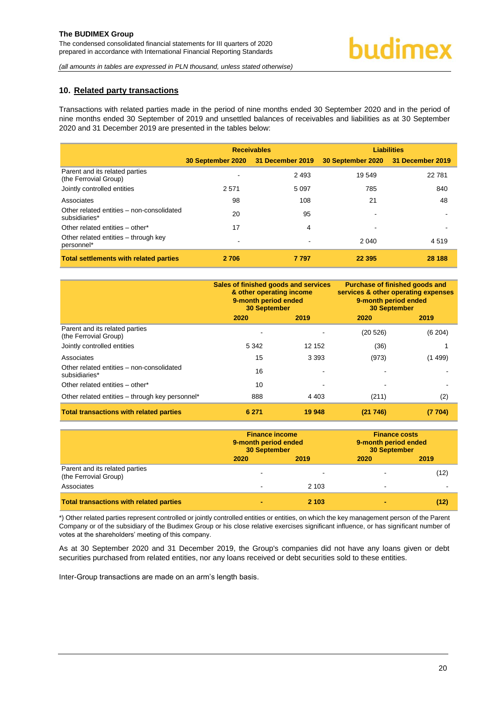#### <span id="page-20-0"></span>**10. Related party transactions**

Transactions with related parties made in the period of nine months ended 30 September 2020 and in the period of nine months ended 30 September of 2019 and unsettled balances of receivables and liabilities as at 30 September 2020 and 31 December 2019 are presented in the tables below:

|                                                            |                                    | <b>Receivables</b> |                                    | <b>Liabilities</b> |
|------------------------------------------------------------|------------------------------------|--------------------|------------------------------------|--------------------|
|                                                            | 30 September 2020 31 December 2019 |                    | 30 September 2020 31 December 2019 |                    |
| Parent and its related parties<br>(the Ferrovial Group)    |                                    | 2493               | 19 549                             | 22 781             |
| Jointly controlled entities                                | 2 5 7 1                            | 5 0 9 7            | 785                                | 840                |
| Associates                                                 | 98                                 | 108                | 21                                 | 48                 |
| Other related entities - non-consolidated<br>subsidiaries* | 20                                 | 95                 |                                    |                    |
| Other related entities - other*                            | 17                                 | 4                  |                                    |                    |
| Other related entities – through key<br>personnel*         |                                    |                    | 2 040                              | 4519               |
| <b>Total settlements with related parties</b>              | 2 706                              | 7 7 9 7            | 22 3 95                            | 28 188             |

|                                                            | Sales of finished goods and services<br>& other operating income<br>9-month period ended<br><b>30 September</b> |         | Purchase of finished goods and<br>services & other operating expenses<br>9-month period ended<br><b>30 September</b> |        |  |
|------------------------------------------------------------|-----------------------------------------------------------------------------------------------------------------|---------|----------------------------------------------------------------------------------------------------------------------|--------|--|
|                                                            | 2020                                                                                                            | 2019    | 2020                                                                                                                 | 2019   |  |
| Parent and its related parties<br>(the Ferrovial Group)    |                                                                                                                 |         | (20 526)                                                                                                             | (6204) |  |
| Jointly controlled entities                                | 5 3 4 2                                                                                                         | 12 152  | (36)                                                                                                                 |        |  |
| Associates                                                 | 15                                                                                                              | 3 3 9 3 | (973)                                                                                                                | (1499) |  |
| Other related entities - non-consolidated<br>subsidiaries* | 16                                                                                                              |         |                                                                                                                      |        |  |
| Other related entities - other*                            | 10                                                                                                              |         |                                                                                                                      |        |  |
| Other related entities - through key personnel*            | 888                                                                                                             | 4 4 0 3 | (211)                                                                                                                | (2)    |  |
| <b>Total transactions with related parties</b>             | 6 271                                                                                                           | 19 948  | (21746)                                                                                                              | (7704) |  |

|                                                         | 9-month period ended<br><b>30 September</b> | <b>Finance income</b> | <b>Finance costs</b><br>9-month period ended<br><b>30 September</b> |      |
|---------------------------------------------------------|---------------------------------------------|-----------------------|---------------------------------------------------------------------|------|
|                                                         | 2020                                        | 2019                  | 2020                                                                | 2019 |
| Parent and its related parties<br>(the Ferrovial Group) |                                             |                       |                                                                     | (12) |
| Associates                                              |                                             | 2 1 0 3               | -                                                                   |      |
| <b>Total transactions with related parties</b>          |                                             | 2 103                 | -                                                                   | (12) |

\*) Other related parties represent controlled or jointly controlled entities or entities, on which the key management person of the Parent Company or of the subsidiary of the Budimex Group or his close relative exercises significant influence, or has significant number of votes at the shareholders' meeting of this company.

As at 30 September 2020 and 31 December 2019, the Group's companies did not have any loans given or debt securities purchased from related entities, nor any loans received or debt securities sold to these entities.

Inter-Group transactions are made on an arm's length basis.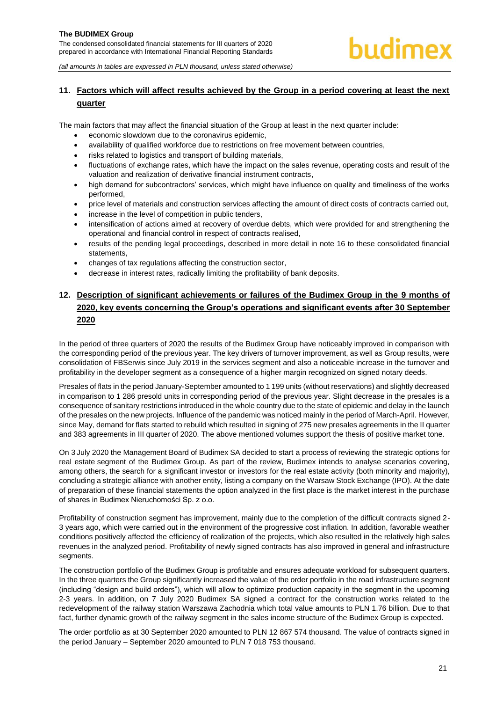#### <span id="page-21-0"></span>**11. Factors which will affect results achieved by the Group in a period covering at least the next quarter**

The main factors that may affect the financial situation of the Group at least in the next quarter include:

- economic slowdown due to the coronavirus epidemic,
- availability of qualified workforce due to restrictions on free movement between countries,
- risks related to logistics and transport of building materials,
- fluctuations of exchange rates, which have the impact on the sales revenue, operating costs and result of the valuation and realization of derivative financial instrument contracts,
- high demand for subcontractors' services, which might have influence on quality and timeliness of the works performed,
- price level of materials and construction services affecting the amount of direct costs of contracts carried out,
- increase in the level of competition in public tenders,
- intensification of actions aimed at recovery of overdue debts, which were provided for and strengthening the operational and financial control in respect of contracts realised,
- results of the pending legal proceedings, described in more detail in note 16 to these consolidated financial statements,
- changes of tax regulations affecting the construction sector,
- decrease in interest rates, radically limiting the profitability of bank deposits.

#### <span id="page-21-1"></span>**12. Description of significant achievements or failures of the Budimex Group in the 9 months of 2020, key events concerning the Group's operations and significant events after 30 September 2020**

In the period of three quarters of 2020 the results of the Budimex Group have noticeably improved in comparison with the corresponding period of the previous year. The key drivers of turnover improvement, as well as Group results, were consolidation of FBSerwis since July 2019 in the services segment and also a noticeable increase in the turnover and profitability in the developer segment as a consequence of a higher margin recognized on signed notary deeds.

Presales of flats in the period January-September amounted to 1 199 units (without reservations) and slightly decreased in comparison to 1 286 presold units in corresponding period of the previous year. Slight decrease in the presales is a consequence of sanitary restrictions introduced in the whole country due to the state of epidemic and delay in the launch of the presales on the new projects. Influence of the pandemic was noticed mainly in the period of March-April. However, since May, demand for flats started to rebuild which resulted in signing of 275 new presales agreements in the II quarter and 383 agreements in III quarter of 2020. The above mentioned volumes support the thesis of positive market tone.

On 3 July 2020 the Management Board of Budimex SA decided to start a process of reviewing the strategic options for real estate segment of the Budimex Group. As part of the review, Budimex intends to analyse scenarios covering, among others, the search for a significant investor or investors for the real estate activity (both minority and majority), concluding a strategic alliance with another entity, listing a company on the Warsaw Stock Exchange (IPO). At the date of preparation of these financial statements the option analyzed in the first place is the market interest in the purchase of shares in Budimex Nieruchomości Sp. z o.o.

Profitability of construction segment has improvement, mainly due to the completion of the difficult contracts signed 2- 3 years ago, which were carried out in the environment of the progressive cost inflation. In addition, favorable weather conditions positively affected the efficiency of realization of the projects, which also resulted in the relatively high sales revenues in the analyzed period. Profitability of newly signed contracts has also improved in general and infrastructure segments.

The construction portfolio of the Budimex Group is profitable and ensures adequate workload for subsequent quarters. In the three quarters the Group significantly increased the value of the order portfolio in the road infrastructure segment (including "design and build orders"), which will allow to optimize production capacity in the segment in the upcoming 2-3 years. In addition, on 7 July 2020 Budimex SA signed a contract for the construction works related to the redevelopment of the railway station Warszawa Zachodnia which total value amounts to PLN 1.76 billion. Due to that fact, further dynamic growth of the railway segment in the sales income structure of the Budimex Group is expected.

The order portfolio as at 30 September 2020 amounted to PLN 12 867 574 thousand. The value of contracts signed in the period January – September 2020 amounted to PLN 7 018 753 thousand.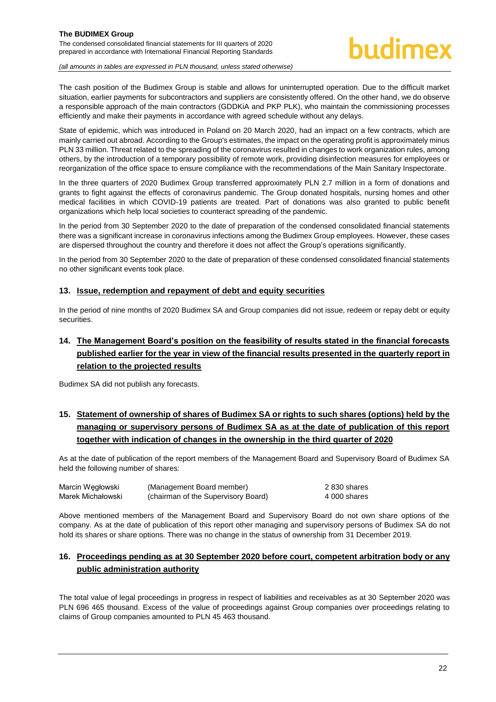#### **The BUDIMEX Group**  The condensed consolidated financial statements for III quarters of 2020

prepared in accordance with International Financial Reporting Standards

### hudimex

*(all amounts in tables are expressed in PLN thousand, unless stated otherwise)*

The cash position of the Budimex Group is stable and allows for uninterrupted operation. Due to the difficult market situation, earlier payments for subcontractors and suppliers are consistently offered. On the other hand, we do observe a responsible approach of the main contractors (GDDKiA and PKP PLK), who maintain the commissioning processes efficiently and make their payments in accordance with agreed schedule without any delays.

State of epidemic, which was introduced in Poland on 20 March 2020, had an impact on a few contracts, which are mainly carried out abroad. According to the Group's estimates, the impact on the operating profit is approximately minus PLN 33 million. Threat related to the spreading of the coronavirus resulted in changes to work organization rules, among others, by the introduction of a temporary possibility of remote work, providing disinfection measures for employees or reorganization of the office space to ensure compliance with the recommendations of the Main Sanitary Inspectorate.

In the three quarters of 2020 Budimex Group transferred approximately PLN 2.7 million in a form of donations and grants to fight against the effects of coronavirus pandemic. The Group donated hospitals, nursing homes and other medical facilities in which COVID-19 patients are treated. Part of donations was also granted to public benefit organizations which help local societies to counteract spreading of the pandemic.

In the period from 30 September 2020 to the date of preparation of the condensed consolidated financial statements there was a significant increase in coronavirus infections among the Budimex Group employees. However, these cases are dispersed throughout the country and therefore it does not affect the Group's operations significantly.

In the period from 30 September 2020 to the date of preparation of these condensed consolidated financial statements no other significant events took place.

#### <span id="page-22-0"></span>**13. Issue, redemption and repayment of debt and equity securities**

In the period of nine months of 2020 Budimex SA and Group companies did not issue, redeem or repay debt or equity securities.

#### <span id="page-22-1"></span>**14. The Management Board's position on the feasibility of results stated in the financial forecasts published earlier for the year in view of the financial results presented in the quarterly report in relation to the projected results**

Budimex SA did not publish any forecasts.

#### <span id="page-22-2"></span>**15. Statement of ownership of shares of Budimex SA or rights to such shares (options) held by the managing or supervisory persons of Budimex SA as at the date of publication of this report together with indication of changes in the ownership in the third quarter of 2020**

As at the date of publication of the report members of the Management Board and Supervisory Board of Budimex SA held the following number of shares:

| Marcin Wegłowski  | (Management Board member)           | 2830 shares  |
|-------------------|-------------------------------------|--------------|
| Marek Michałowski | (chairman of the Supervisory Board) | 4 000 shares |

Above mentioned members of the Management Board and Supervisory Board do not own share options of the company. As at the date of publication of this report other managing and supervisory persons of Budimex SA do not hold its shares or share options. There was no change in the status of ownership from 31 December 2019.

#### <span id="page-22-3"></span>**16. Proceedings pending as at 30 September 2020 before court, competent arbitration body or any public administration authority**

The total value of legal proceedings in progress in respect of liabilities and receivables as at 30 September 2020 was PLN 696 465 thousand. Excess of the value of proceedings against Group companies over proceedings relating to claims of Group companies amounted to PLN 45 463 thousand.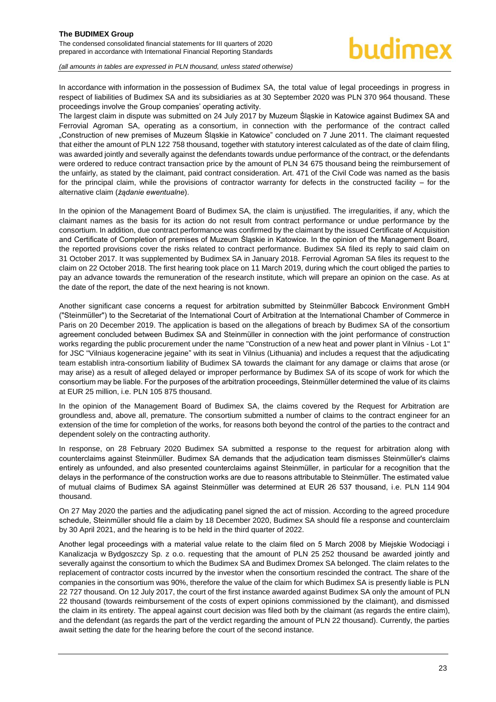The condensed consolidated financial statements for III quarters of 2020 prepared in accordance with International Financial Reporting Standards

*(all amounts in tables are expressed in PLN thousand, unless stated otherwise)*

In accordance with information in the possession of Budimex SA, the total value of legal proceedings in progress in respect of liabilities of Budimex SA and its subsidiaries as at 30 September 2020 was PLN 370 964 thousand. These proceedings involve the Group companies' operating activity.

The largest claim in dispute was submitted on 24 July 2017 by Muzeum Śląskie in Katowice against Budimex SA and Ferrovial Agroman SA, operating as a consortium, in connection with the performance of the contract called "Construction of new premises of Muzeum Śląskie in Katowice" concluded on 7 June 2011. The claimant requested that either the amount of PLN 122 758 thousand, together with statutory interest calculated as of the date of claim filing, was awarded jointly and severally against the defendants towards undue performance of the contract, or the defendants were ordered to reduce contract transaction price by the amount of PLN 34 675 thousand being the reimbursement of the unfairly, as stated by the claimant, paid contract consideration. Art. 471 of the Civil Code was named as the basis for the principal claim, while the provisions of contractor warranty for defects in the constructed facility – for the alternative claim (*żądanie ewentualne*).

In the opinion of the Management Board of Budimex SA, the claim is unjustified. The irregularities, if any, which the claimant names as the basis for its action do not result from contract performance or undue performance by the consortium. In addition, due contract performance was confirmed by the claimant by the issued Certificate of Acquisition and Certificate of Completion of premises of Muzeum Śląskie in Katowice. In the opinion of the Management Board, the reported provisions cover the risks related to contract performance. Budimex SA filed its reply to said claim on 31 October 2017. It was supplemented by Budimex SA in January 2018. Ferrovial Agroman SA files its request to the claim on 22 October 2018. The first hearing took place on 11 March 2019, during which the court obliged the parties to pay an advance towards the remuneration of the research institute, which will prepare an opinion on the case. As at the date of the report, the date of the next hearing is not known.

Another significant case concerns a request for arbitration submitted by Steinmüller Babcock Environment GmbH ("Steinmüller") to the Secretariat of the International Court of Arbitration at the International Chamber of Commerce in Paris on 20 December 2019. The application is based on the allegations of breach by Budimex SA of the consortium agreement concluded between Budimex SA and Steinmüller in connection with the joint performance of construction works regarding the public procurement under the name "Construction of a new heat and power plant in Vilnius - Lot 1" for JSC "Vilniaus kogeneracine jegaine" with its seat in Vilnius (Lithuania) and includes a request that the adjudicating team establish intra-consortium liability of Budimex SA towards the claimant for any damage or claims that arose (or may arise) as a result of alleged delayed or improper performance by Budimex SA of its scope of work for which the consortium may be liable. For the purposes of the arbitration proceedings, Steinmüller determined the value of its claims at EUR 25 million, i.e. PLN 105 875 thousand.

In the opinion of the Management Board of Budimex SA, the claims covered by the Request for Arbitration are groundless and, above all, premature. The consortium submitted a number of claims to the contract engineer for an extension of the time for completion of the works, for reasons both beyond the control of the parties to the contract and dependent solely on the contracting authority.

In response, on 28 February 2020 Budimex SA submitted a response to the request for arbitration along with counterclaims against Steinmüller. Budimex SA demands that the adjudication team dismisses Steinmüller's claims entirely as unfounded, and also presented counterclaims against Steinmüller, in particular for a recognition that the delays in the performance of the construction works are due to reasons attributable to Steinmüller. The estimated value of mutual claims of Budimex SA against Steinmüller was determined at EUR 26 537 thousand, i.e. PLN 114 904 thousand.

On 27 May 2020 the parties and the adjudicating panel signed the act of mission. According to the agreed procedure schedule, Steinmüller should file a claim by 18 December 2020, Budimex SA should file a response and counterclaim by 30 April 2021, and the hearing is to be held in the third quarter of 2022.

Another legal proceedings with a material value relate to the claim filed on 5 March 2008 by Miejskie Wodociągi i Kanalizacja w Bydgoszczy Sp. z o.o. requesting that the amount of PLN 25 252 thousand be awarded jointly and severally against the consortium to which the Budimex SA and Budimex Dromex SA belonged. The claim relates to the replacement of contractor costs incurred by the investor when the consortium rescinded the contract. The share of the companies in the consortium was 90%, therefore the value of the claim for which Budimex SA is presently liable is PLN 22 727 thousand. On 12 July 2017, the court of the first instance awarded against Budimex SA only the amount of PLN 22 thousand (towards reimbursement of the costs of expert opinions commissioned by the claimant), and dismissed the claim in its entirety. The appeal against court decision was filed both by the claimant (as regards the entire claim), and the defendant (as regards the part of the verdict regarding the amount of PLN 22 thousand). Currently, the parties await setting the date for the hearing before the court of the second instance.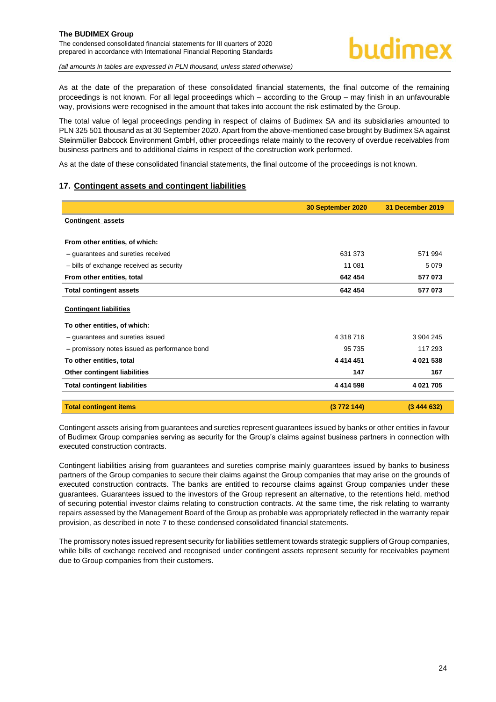As at the date of the preparation of these consolidated financial statements, the final outcome of the remaining proceedings is not known. For all legal proceedings which – according to the Group – may finish in an unfavourable way, provisions were recognised in the amount that takes into account the risk estimated by the Group.

The total value of legal proceedings pending in respect of claims of Budimex SA and its subsidiaries amounted to PLN 325 501 thousand as at 30 September 2020. Apart from the above-mentioned case brought by Budimex SA against Steinmüller Babcock Environment GmbH, other proceedings relate mainly to the recovery of overdue receivables from business partners and to additional claims in respect of the construction work performed.

As at the date of these consolidated financial statements, the final outcome of the proceedings is not known.

#### <span id="page-24-0"></span>**17. Contingent assets and contingent liabilities**

|                                               | 30 September 2020 | 31 December 2019 |
|-----------------------------------------------|-------------------|------------------|
| <b>Contingent assets</b>                      |                   |                  |
|                                               |                   |                  |
| From other entities, of which:                |                   |                  |
| - guarantees and sureties received            | 631 373           | 571 994          |
| - bills of exchange received as security      | 11 081            | 5079             |
| From other entities, total                    | 642 454           | 577 073          |
| <b>Total contingent assets</b>                | 642 454           | 577 073          |
| <b>Contingent liabilities</b>                 |                   |                  |
| To other entities, of which:                  |                   |                  |
| - guarantees and sureties issued              | 4 318 716         | 3 904 245        |
| - promissory notes issued as performance bond | 95 735            | 117 293          |
| To other entities, total                      | 4 4 1 4 4 5 1     | 4 021 538        |
| Other contingent liabilities                  | 147               | 167              |
| <b>Total contingent liabilities</b>           | 4 4 1 4 5 9 8     | 4 021 705        |
|                                               |                   |                  |
| <b>Total contingent items</b>                 | (3772144)         | (3444632)        |

Contingent assets arising from guarantees and sureties represent guarantees issued by banks or other entities in favour of Budimex Group companies serving as security for the Group's claims against business partners in connection with executed construction contracts.

Contingent liabilities arising from guarantees and sureties comprise mainly guarantees issued by banks to business partners of the Group companies to secure their claims against the Group companies that may arise on the grounds of executed construction contracts. The banks are entitled to recourse claims against Group companies under these guarantees. Guarantees issued to the investors of the Group represent an alternative, to the retentions held, method of securing potential investor claims relating to construction contracts. At the same time, the risk relating to warranty repairs assessed by the Management Board of the Group as probable was appropriately reflected in the warranty repair provision, as described in note 7 to these condensed consolidated financial statements.

The promissory notes issued represent security for liabilities settlement towards strategic suppliers of Group companies, while bills of exchange received and recognised under contingent assets represent security for receivables payment due to Group companies from their customers.